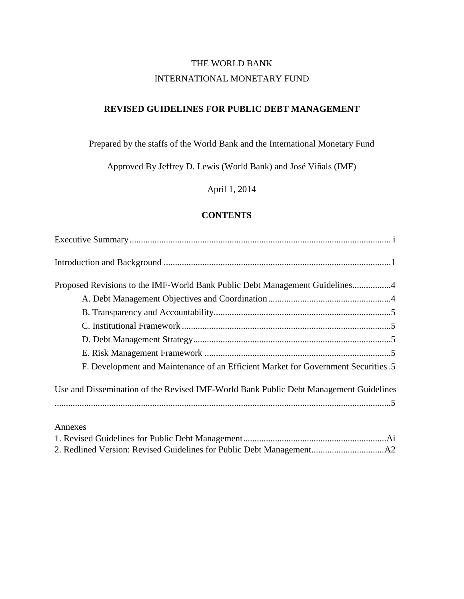# THE WORLD BANK INTERNATIONAL MONETARY FUND

## **REVISED GUIDELINES FOR PUBLIC DEBT MANAGEMENT**

# Prepared by the staffs of the World Bank and the International Monetary Fund

Approved By Jeffrey D. Lewis (World Bank) and José Viñals (IMF)

April 1, 2014

#### **CONTENTS**

| Proposed Revisions to the IMF-World Bank Public Debt Management Guidelines4           |
|---------------------------------------------------------------------------------------|
|                                                                                       |
|                                                                                       |
|                                                                                       |
|                                                                                       |
|                                                                                       |
| F. Development and Maintenance of an Efficient Market for Government Securities .5    |
| Use and Dissemination of the Revised IMF-World Bank Public Debt Management Guidelines |
|                                                                                       |
|                                                                                       |
| Annexes                                                                               |
|                                                                                       |
|                                                                                       |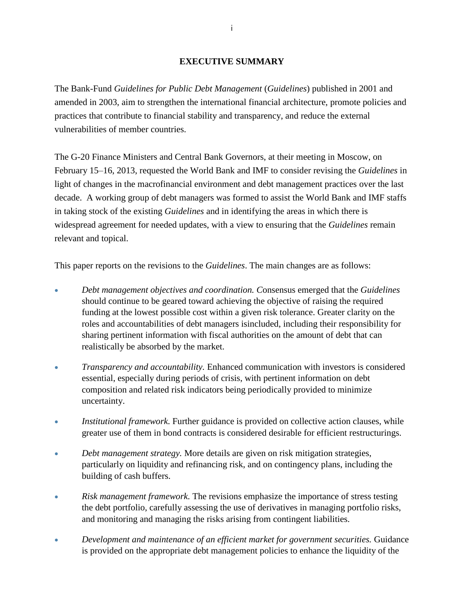#### **EXECUTIVE SUMMARY**

The Bank-Fund *Guidelines for Public Debt Management* (*Guidelines*) published in 2001 and amended in 2003, aim to strengthen the international financial architecture, promote policies and practices that contribute to financial stability and transparency, and reduce the external vulnerabilities of member countries.

The G-20 Finance Ministers and Central Bank Governors, at their meeting in Moscow, on February 15–16, 2013, requested the World Bank and IMF to consider revising the *Guidelines* in light of changes in the macrofinancial environment and debt management practices over the last decade. A working group of debt managers was formed to assist the World Bank and IMF staffs in taking stock of the existing *Guidelines* and in identifying the areas in which there is widespread agreement for needed updates, with a view to ensuring that the *Guidelines* remain relevant and topical.

This paper reports on the revisions to the *Guidelines*. The main changes are as follows:

- *Debt management objectives and coordination. C*onsensus emerged that the *Guidelines* should continue to be geared toward achieving the objective of raising the required funding at the lowest possible cost within a given risk tolerance. Greater clarity on the roles and accountabilities of debt managers isincluded, including their responsibility for sharing pertinent information with fiscal authorities on the amount of debt that can realistically be absorbed by the market.
- *Transparency and accountability.* Enhanced communication with investors is considered essential, especially during periods of crisis, with pertinent information on debt composition and related risk indicators being periodically provided to minimize uncertainty.
- **Institutional framework. Further guidance is provided on collective action clauses, while** greater use of them in bond contracts is considered desirable for efficient restructurings.
- *Debt management strategy.* More details are given on risk mitigation strategies, particularly on liquidity and refinancing risk, and on contingency plans, including the building of cash buffers.
- *Risk management framework.* The revisions emphasize the importance of stress testing the debt portfolio, carefully assessing the use of derivatives in managing portfolio risks, and monitoring and managing the risks arising from contingent liabilities.
- *Development and maintenance of an efficient market for government securities.* Guidance is provided on the appropriate debt management policies to enhance the liquidity of the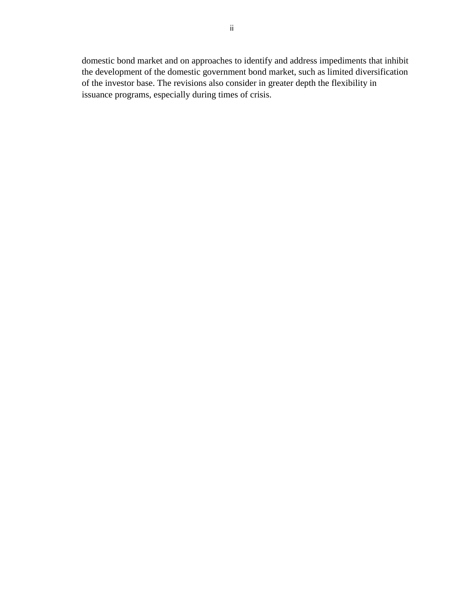domestic bond market and on approaches to identify and address impediments that inhibit the development of the domestic government bond market, such as limited diversification of the investor base. The revisions also consider in greater depth the flexibility in issuance programs, especially during times of crisis.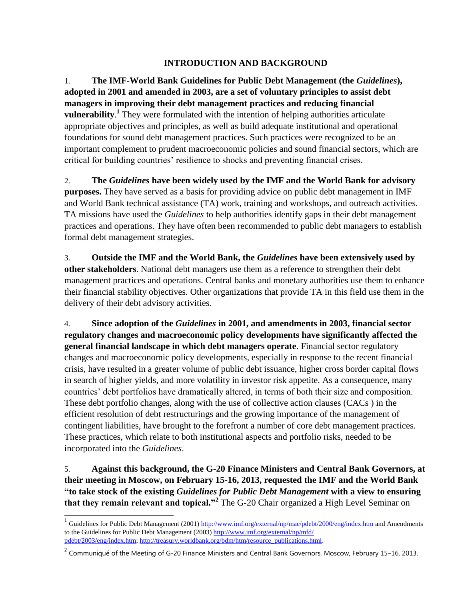## **INTRODUCTION AND BACKGROUND**

1. **The IMF-World Bank Guidelines for Public Debt Management (the** *Guidelines***), adopted in 2001 and amended in 2003, are a set of voluntary principles to assist debt managers in improving their debt management practices and reducing financial vulnerability.** They were formulated with the intention of helping authorities articulate appropriate objectives and principles, as well as build adequate institutional and operational foundations for sound debt management practices. Such practices were recognized to be an important complement to prudent macroeconomic policies and sound financial sectors, which are critical for building countries' resilience to shocks and preventing financial crises.

2. **The** *Guidelines* **have been widely used by the IMF and the World Bank for advisory purposes.** They have served as a basis for providing advice on public debt management in IMF and World Bank technical assistance (TA) work, training and workshops, and outreach activities. TA missions have used the *Guidelines* to help authorities identify gaps in their debt management practices and operations. They have often been recommended to public debt managers to establish formal debt management strategies.

3. **Outside the IMF and the World Bank, the** *Guidelines* **have been extensively used by other stakeholders**. National debt managers use them as a reference to strengthen their debt management practices and operations. Central banks and monetary authorities use them to enhance their financial stability objectives. Other organizations that provide TA in this field use them in the delivery of their debt advisory activities.

4. **Since adoption of the** *Guidelines* **in 2001, and amendments in 2003, financial sector regulatory changes and macroeconomic policy developments have significantly affected the general financial landscape in which debt managers operate**. Financial sector regulatory changes and macroeconomic policy developments, especially in response to the recent financial crisis, have resulted in a greater volume of public debt issuance, higher cross border capital flows in search of higher yields, and more volatility in investor risk appetite. As a consequence, many countries' debt portfolios have dramatically altered, in terms of both their size and composition. These debt portfolio changes, along with the use of collective action clauses (CACs ) in the efficient resolution of debt restructurings and the growing importance of the management of contingent liabilities, have brought to the forefront a number of core debt management practices. These practices, which relate to both institutional aspects and portfolio risks, needed to be incorporated into the *Guidelines*.

5. **Against this background, the G-20 Finance Ministers and Central Bank Governors, at their meeting in Moscow, on February 15-16, 2013, requested the IMF and the World Bank "to take stock of the existing** *Guidelines for Public Debt Management* **with a view to ensuring that they remain relevant and topical."<sup>2</sup>** The G-20 Chair organized a High Level Seminar on

<sup>&</sup>lt;sup>1</sup> Guidelines for Public Debt Management (2001[\) http://www.imf.org/external/np/mae/pdebt/2000/eng/index.htm](http://www.imf.org/external/np/mae/pdebt/2000/eng/index.htm) and Amendments to the Guidelines for Public Debt Management (2003) [http://www.imf.org/external/np/mfd/](http://www.imf.org/external/np/mfd/pdebt/2003/eng/index.htm) [pdebt/2003/eng/index.htm;](http://www.imf.org/external/np/mfd/pdebt/2003/eng/index.htm) http://treasury.worldbank.org/bdm/htm/resource\_publications.html.

<sup>&</sup>lt;sup>2</sup> Communiqué of the Meeting of G-20 Finance Ministers and Central Bank Governors, Moscow, February 15–16, 2013.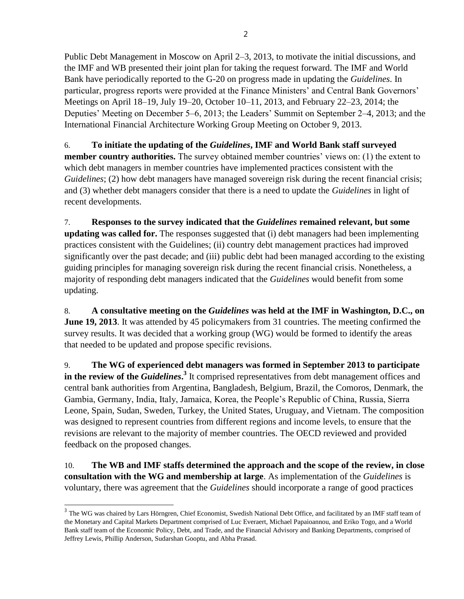Public Debt Management in Moscow on April 2–3, 2013, to motivate the initial discussions, and the IMF and WB presented their joint plan for taking the request forward. The IMF and World Bank have periodically reported to the G-20 on progress made in updating the *Guidelines*. In particular, progress reports were provided at the Finance Ministers' and Central Bank Governors' Meetings on April 18–19, July 19–20, October 10–11, 2013, and February 22–23, 2014; the Deputies' Meeting on December 5–6, 2013; the Leaders' Summit on September 2–4, 2013; and the International Financial Architecture Working Group Meeting on October 9, 2013.

6. **To initiate the updating of the** *Guidelines***, IMF and World Bank staff surveyed member country authorities.** The survey obtained member countries' views on: (1) the extent to which debt managers in member countries have implemented practices consistent with the *Guidelines*; (2) how debt managers have managed sovereign risk during the recent financial crisis; and (3) whether debt managers consider that there is a need to update the *Guidelines* in light of recent developments.

7. **Responses to the survey indicated that the** *Guidelines* **remained relevant, but some updating was called for.** The responses suggested that (i) debt managers had been implementing practices consistent with the Guidelines; (ii) country debt management practices had improved significantly over the past decade; and (iii) public debt had been managed according to the existing guiding principles for managing sovereign risk during the recent financial crisis. Nonetheless, a majority of responding debt managers indicated that the *Guidelines* would benefit from some updating.

8. **A consultative meeting on the** *Guidelines* **was held at the IMF in Washington, D.C., on June 19, 2013**. It was attended by 45 policymakers from 31 countries. The meeting confirmed the survey results. It was decided that a working group (WG) would be formed to identify the areas that needed to be updated and propose specific revisions.

9. **The WG of experienced debt managers was formed in September 2013 to participate**  in the review of the *Guidelines*.<sup>3</sup> It comprised representatives from debt management offices and central bank authorities from Argentina, Bangladesh, Belgium, Brazil, the Comoros, Denmark, the Gambia, Germany, India, Italy, Jamaica, Korea, the People's Republic of China, Russia, Sierra Leone, Spain, Sudan, Sweden, Turkey, the United States, Uruguay, and Vietnam. The composition was designed to represent countries from different regions and income levels, to ensure that the revisions are relevant to the majority of member countries. The OECD reviewed and provided feedback on the proposed changes.

10. **The WB and IMF staffs determined the approach and the scope of the review, in close consultation with the WG and membership at large**. As implementation of the *Guidelines* is voluntary, there was agreement that the *Guidelines* should incorporate a range of good practices

<sup>&</sup>lt;sup>3</sup> The WG was chaired by Lars Hörngren, Chief Economist, Swedish National Debt Office, and facilitated by an IMF staff team of the Monetary and Capital Markets Department comprised of Luc Everaert, Michael Papaioannou, and Eriko Togo, and a World Bank staff team of the Economic Policy, Debt, and Trade, and the Financial Advisory and Banking Departments, comprised of Jeffrey Lewis, Phillip Anderson, Sudarshan Gooptu, and Abha Prasad.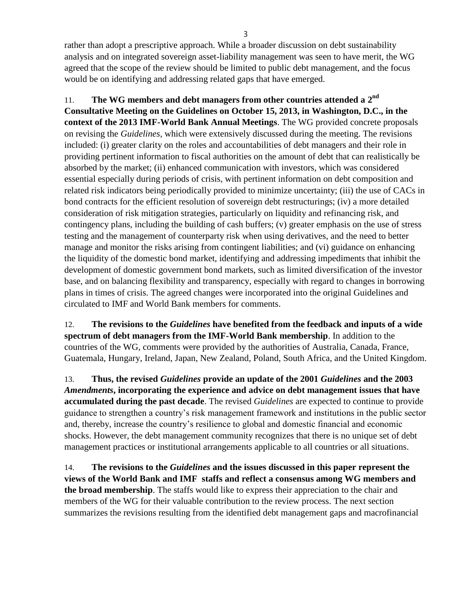rather than adopt a prescriptive approach. While a broader discussion on debt sustainability analysis and on integrated sovereign asset-liability management was seen to have merit, the WG agreed that the scope of the review should be limited to public debt management, and the focus would be on identifying and addressing related gaps that have emerged.

11. The WG members and debt managers from other countries attended a 2<sup>nd</sup> **Consultative Meeting on the Guidelines on October 15, 2013, in Washington, D.C., in the context of the 2013 IMF-World Bank Annual Meetings**. The WG provided concrete proposals on revising the *Guidelines*, which were extensively discussed during the meeting. The revisions included: (i) greater clarity on the roles and accountabilities of debt managers and their role in providing pertinent information to fiscal authorities on the amount of debt that can realistically be absorbed by the market; (ii) enhanced communication with investors, which was considered essential especially during periods of crisis, with pertinent information on debt composition and related risk indicators being periodically provided to minimize uncertainty; (iii) the use of CACs in bond contracts for the efficient resolution of sovereign debt restructurings; (iv) a more detailed consideration of risk mitigation strategies, particularly on liquidity and refinancing risk, and contingency plans, including the building of cash buffers; (v) greater emphasis on the use of stress testing and the management of counterparty risk when using derivatives, and the need to better manage and monitor the risks arising from contingent liabilities; and (vi) guidance on enhancing the liquidity of the domestic bond market, identifying and addressing impediments that inhibit the development of domestic government bond markets, such as limited diversification of the investor base, and on balancing flexibility and transparency, especially with regard to changes in borrowing plans in times of crisis. The agreed changes were incorporated into the original Guidelines and circulated to IMF and World Bank members for comments.

12. **The revisions to the** *Guidelines* **have benefited from the feedback and inputs of a wide spectrum of debt managers from the IMF-World Bank membership**. In addition to the countries of the WG, comments were provided by the authorities of Australia, Canada, France, Guatemala, Hungary, Ireland, Japan, New Zealand, Poland, South Africa, and the United Kingdom.

13. **Thus, the revised** *Guidelines* **provide an update of the 2001** *Guidelines* **and the 2003**  *Amendments***, incorporating the experience and advice on debt management issues that have accumulated during the past decade**. The revised *Guidelines* are expected to continue to provide guidance to strengthen a country's risk management framework and institutions in the public sector and, thereby, increase the country's resilience to global and domestic financial and economic shocks. However, the debt management community recognizes that there is no unique set of debt management practices or institutional arrangements applicable to all countries or all situations.

14. **The revisions to the** *Guidelines* **and the issues discussed in this paper represent the views of the World Bank and IMF staffs and reflect a consensus among WG members and the broad membership**. The staffs would like to express their appreciation to the chair and members of the WG for their valuable contribution to the review process. The next section summarizes the revisions resulting from the identified debt management gaps and macrofinancial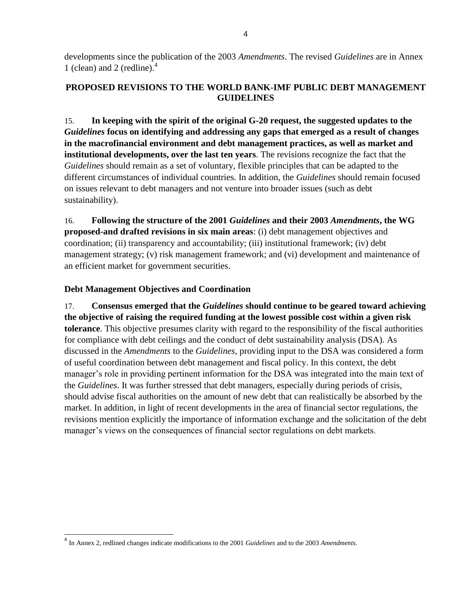developments since the publication of the 2003 *Amendments*. The revised *Guidelines* are in Annex 1 (clean) and 2 (redline). $4$ 

# **PROPOSED REVISIONS TO THE WORLD BANK-IMF PUBLIC DEBT MANAGEMENT GUIDELINES**

15. **In keeping with the spirit of the original G-20 request, the suggested updates to the**  *Guidelines* **focus on identifying and addressing any gaps that emerged as a result of changes in the macrofinancial environment and debt management practices, as well as market and institutional developments, over the last ten years**. The revisions recognize the fact that the *Guidelines* should remain as a set of voluntary, flexible principles that can be adapted to the different circumstances of individual countries. In addition, the *Guidelines* should remain focused on issues relevant to debt managers and not venture into broader issues (such as debt sustainability).

16. **Following the structure of the 2001** *Guidelines* **and their 2003** *Amendments***, the WG proposed-and drafted revisions in six main areas**: (i) debt management objectives and coordination; (ii) transparency and accountability; (iii) institutional framework; (iv) debt management strategy; (v) risk management framework; and (vi) development and maintenance of an efficient market for government securities.

# **Debt Management Objectives and Coordination**

 $\overline{a}$ 

17. **Consensus emerged that the** *Guidelines* **should continue to be geared toward achieving the objective of raising the required funding at the lowest possible cost within a given risk tolerance**. This objective presumes clarity with regard to the responsibility of the fiscal authorities for compliance with debt ceilings and the conduct of debt sustainability analysis (DSA). As discussed in the *Amendments* to the *Guidelines*, providing input to the DSA was considered a form of useful coordination between debt management and fiscal policy. In this context, the debt manager's role in providing pertinent information for the DSA was integrated into the main text of the *Guidelines*. It was further stressed that debt managers, especially during periods of crisis, should advise fiscal authorities on the amount of new debt that can realistically be absorbed by the market. In addition, in light of recent developments in the area of financial sector regulations, the revisions mention explicitly the importance of information exchange and the solicitation of the debt manager's views on the consequences of financial sector regulations on debt markets.

<sup>4</sup> In Annex 2, redlined changes indicate modifications to the 2001 *Guidelines* and to the 2003 *Amendments*.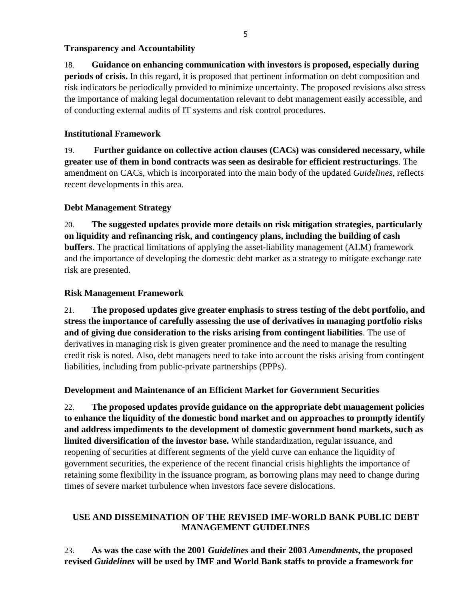#### **Transparency and Accountability**

18. **Guidance on enhancing communication with investors is proposed, especially during periods of crisis.** In this regard, it is proposed that pertinent information on debt composition and risk indicators be periodically provided to minimize uncertainty. The proposed revisions also stress the importance of making legal documentation relevant to debt management easily accessible, and of conducting external audits of IT systems and risk control procedures.

# **Institutional Framework**

19. **Further guidance on collective action clauses (CACs) was considered necessary, while greater use of them in bond contracts was seen as desirable for efficient restructurings**. The amendment on CACs, which is incorporated into the main body of the updated *Guidelines*, reflects recent developments in this area.

# **Debt Management Strategy**

20. **The suggested updates provide more details on risk mitigation strategies, particularly on liquidity and refinancing risk, and contingency plans, including the building of cash buffers**. The practical limitations of applying the asset-liability management (ALM) framework and the importance of developing the domestic debt market as a strategy to mitigate exchange rate risk are presented.

# **Risk Management Framework**

21. **The proposed updates give greater emphasis to stress testing of the debt portfolio, and stress the importance of carefully assessing the use of derivatives in managing portfolio risks and of giving due consideration to the risks arising from contingent liabilities**. The use of derivatives in managing risk is given greater prominence and the need to manage the resulting credit risk is noted. Also, debt managers need to take into account the risks arising from contingent liabilities, including from public-private partnerships (PPPs).

## **Development and Maintenance of an Efficient Market for Government Securities**

22. **The proposed updates provide guidance on the appropriate debt management policies to enhance the liquidity of the domestic bond market and on approaches to promptly identify and address impediments to the development of domestic government bond markets, such as limited diversification of the investor base.** While standardization, regular issuance, and reopening of securities at different segments of the yield curve can enhance the liquidity of government securities, the experience of the recent financial crisis highlights the importance of retaining some flexibility in the issuance program, as borrowing plans may need to change during times of severe market turbulence when investors face severe dislocations.

## **USE AND DISSEMINATION OF THE REVISED IMF-WORLD BANK PUBLIC DEBT MANAGEMENT GUIDELINES**

23. **As was the case with the 2001** *Guidelines* **and their 2003** *Amendments***, the proposed revised** *Guidelines* **will be used by IMF and World Bank staffs to provide a framework for**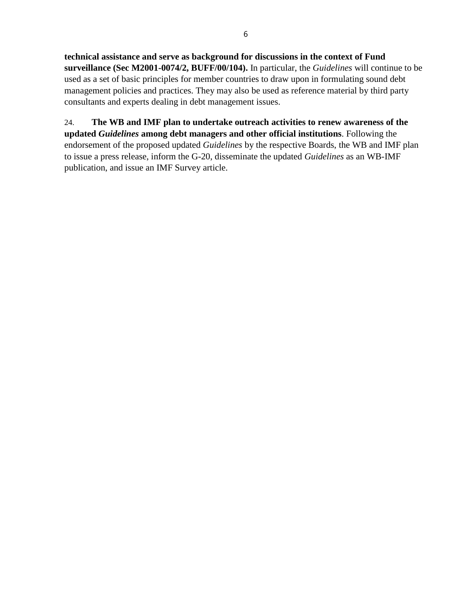**technical assistance and serve as background for discussions in the context of Fund surveillance (Sec M2001-0074/2, BUFF/00/104).** In particular, the *Guidelines* will continue to be used as a set of basic principles for member countries to draw upon in formulating sound debt management policies and practices. They may also be used as reference material by third party consultants and experts dealing in debt management issues.

24. **The WB and IMF plan to undertake outreach activities to renew awareness of the updated** *Guidelines* **among debt managers and other official institutions**. Following the endorsement of the proposed updated *Guidelines* by the respective Boards, the WB and IMF plan to issue a press release, inform the G-20, disseminate the updated *Guidelines* as an WB-IMF publication, and issue an IMF Survey article.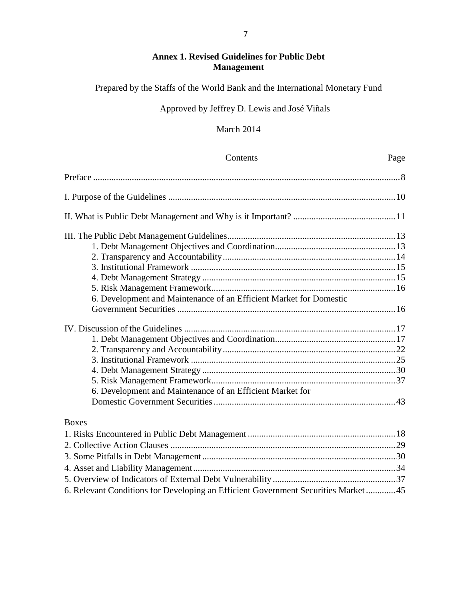# **Annex 1. Revised Guidelines for Public Debt Management**

Prepared by the Staffs of the World Bank and the International Monetary Fund

# Approved by Jeffrey D. Lewis and José Viñals

# March 2014

| Contents                                                                          | Page |
|-----------------------------------------------------------------------------------|------|
|                                                                                   |      |
|                                                                                   |      |
|                                                                                   |      |
|                                                                                   |      |
|                                                                                   |      |
|                                                                                   |      |
|                                                                                   |      |
|                                                                                   |      |
|                                                                                   |      |
| 6. Development and Maintenance of an Efficient Market for Domestic                |      |
|                                                                                   |      |
|                                                                                   |      |
|                                                                                   |      |
|                                                                                   |      |
|                                                                                   |      |
|                                                                                   |      |
|                                                                                   |      |
|                                                                                   |      |
| 6. Development and Maintenance of an Efficient Market for                         |      |
|                                                                                   |      |
| <b>Boxes</b>                                                                      |      |
|                                                                                   |      |
|                                                                                   |      |
|                                                                                   |      |
|                                                                                   |      |
|                                                                                   |      |
| 6. Relevant Conditions for Developing an Efficient Government Securities Market45 |      |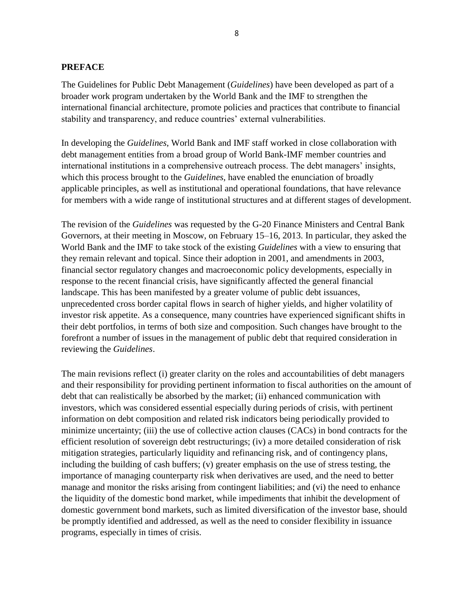#### **PREFACE**

The Guidelines for Public Debt Management (*Guidelines*) have been developed as part of a broader work program undertaken by the World Bank and the IMF to strengthen the international financial architecture, promote policies and practices that contribute to financial stability and transparency, and reduce countries' external vulnerabilities.

In developing the *Guidelines*, World Bank and IMF staff worked in close collaboration with debt management entities from a broad group of World Bank-IMF member countries and international institutions in a comprehensive outreach process. The debt managers' insights, which this process brought to the *Guidelines*, have enabled the enunciation of broadly applicable principles, as well as institutional and operational foundations, that have relevance for members with a wide range of institutional structures and at different stages of development.

The revision of the *Guidelines* was requested by the G-20 Finance Ministers and Central Bank Governors, at their meeting in Moscow, on February 15–16, 2013. In particular, they asked the World Bank and the IMF to take stock of the existing *Guidelines* with a view to ensuring that they remain relevant and topical. Since their adoption in 2001, and amendments in 2003, financial sector regulatory changes and macroeconomic policy developments, especially in response to the recent financial crisis, have significantly affected the general financial landscape. This has been manifested by a greater volume of public debt issuances, unprecedented cross border capital flows in search of higher yields, and higher volatility of investor risk appetite. As a consequence, many countries have experienced significant shifts in their debt portfolios, in terms of both size and composition. Such changes have brought to the forefront a number of issues in the management of public debt that required consideration in reviewing the *Guidelines*.

The main revisions reflect (i) greater clarity on the roles and accountabilities of debt managers and their responsibility for providing pertinent information to fiscal authorities on the amount of debt that can realistically be absorbed by the market; (ii) enhanced communication with investors, which was considered essential especially during periods of crisis, with pertinent information on debt composition and related risk indicators being periodically provided to minimize uncertainty; (iii) the use of collective action clauses (CACs) in bond contracts for the efficient resolution of sovereign debt restructurings; (iv) a more detailed consideration of risk mitigation strategies, particularly liquidity and refinancing risk, and of contingency plans, including the building of cash buffers; (v) greater emphasis on the use of stress testing, the importance of managing counterparty risk when derivatives are used, and the need to better manage and monitor the risks arising from contingent liabilities; and (vi) the need to enhance the liquidity of the domestic bond market, while impediments that inhibit the development of domestic government bond markets, such as limited diversification of the investor base, should be promptly identified and addressed, as well as the need to consider flexibility in issuance programs, especially in times of crisis.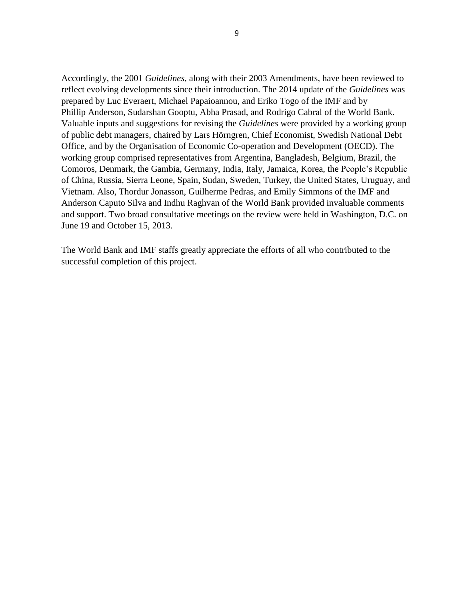Accordingly, the 2001 *Guidelines*, along with their 2003 Amendments, have been reviewed to reflect evolving developments since their introduction. The 2014 update of the *Guidelines* was prepared by Luc Everaert, Michael Papaioannou, and Eriko Togo of the IMF and by Phillip Anderson, Sudarshan Gooptu, Abha Prasad, and Rodrigo Cabral of the World Bank. Valuable inputs and suggestions for revising the *Guidelines* were provided by a working group of public debt managers, chaired by Lars Hörngren, Chief Economist, Swedish National Debt Office, and by the Organisation of Economic Co-operation and Development (OECD). The working group comprised representatives from Argentina, Bangladesh, Belgium, Brazil, the Comoros, Denmark, the Gambia, Germany, India, Italy, Jamaica, Korea, the People's Republic of China, Russia, Sierra Leone, Spain, Sudan, Sweden, Turkey, the United States, Uruguay, and Vietnam. Also, Thordur Jonasson, Guilherme Pedras, and Emily Simmons of the IMF and Anderson Caputo Silva and Indhu Raghvan of the World Bank provided invaluable comments and support. Two broad consultative meetings on the review were held in Washington, D.C. on June 19 and October 15, 2013.

The World Bank and IMF staffs greatly appreciate the efforts of all who contributed to the successful completion of this project.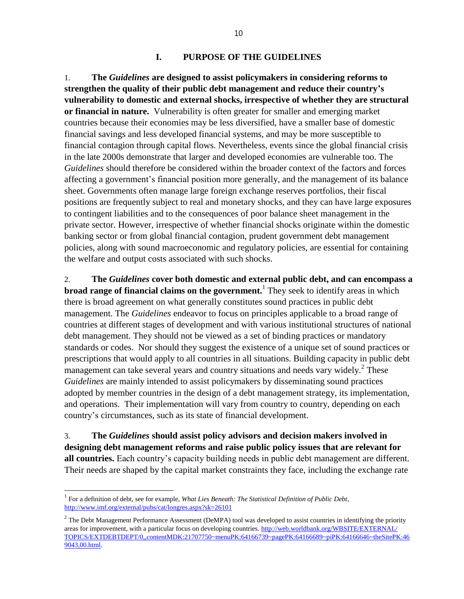#### **I. PURPOSE OF THE GUIDELINES**

1. **The** *Guidelines* **are designed to assist policymakers in considering reforms to strengthen the quality of their public debt management and reduce their country's vulnerability to domestic and external shocks, irrespective of whether they are structural or financial in nature.** Vulnerability is often greater for smaller and emerging market countries because their economies may be less diversified, have a smaller base of domestic financial savings and less developed financial systems, and may be more susceptible to financial contagion through capital flows. Nevertheless, events since the global financial crisis in the late 2000s demonstrate that larger and developed economies are vulnerable too. The *Guidelines* should therefore be considered within the broader context of the factors and forces affecting a government's financial position more generally, and the management of its balance sheet. Governments often manage large foreign exchange reserves portfolios, their fiscal positions are frequently subject to real and monetary shocks, and they can have large exposures to contingent liabilities and to the consequences of poor balance sheet management in the private sector. However, irrespective of whether financial shocks originate within the domestic banking sector or from global financial contagion, prudent government debt management policies, along with sound macroeconomic and regulatory policies, are essential for containing the welfare and output costs associated with such shocks.

2. **The** *Guidelines* **cover both domestic and external public debt, and can encompass a broad range of financial claims on the government.**<sup>1</sup> They seek to identify areas in which there is broad agreement on what generally constitutes sound practices in public debt management. The *Guidelines* endeavor to focus on principles applicable to a broad range of countries at different stages of development and with various institutional structures of national debt management. They should not be viewed as a set of binding practices or mandatory standards or codes. Nor should they suggest the existence of a unique set of sound practices or prescriptions that would apply to all countries in all situations. Building capacity in public debt management can take several years and country situations and needs vary widely.<sup>2</sup> These *Guidelines* are mainly intended to assist policymakers by disseminating sound practices adopted by member countries in the design of a debt management strategy, its implementation, and operations. Their implementation will vary from country to country, depending on each country's circumstances, such as its state of financial development.

3. **The** *Guidelines* **should assist policy advisors and decision makers involved in designing debt management reforms and raise public policy issues that are relevant for all countries.** Each country's capacity building needs in public debt management are different. Their needs are shaped by the capital market constraints they face, including the exchange rate

<sup>&</sup>lt;sup>1</sup> For a definition of debt, see for example, *What Lies Beneath: The Statistical Definition of Public Debt*, [http://www.imf.org/external/pubs/cat/longres.aspx?sk=26101](http://www.imf.org/external/pubs/cat/longres.aspx?sk=26101%20)

 $2$  The Debt Management Performance Assessment (DeMPA) tool was developed to assist countries in identifying the priority areas for improvement, with a particular focus on developing countries. [http://web.worldbank.org/WBSITE/EXTERNAL/](http://web.worldbank.org/WBSITE/EXTERNAL/TOPICS/EXTDEBTDEPT/0,,contentMDK:21707750~menuPK:64166739~pagePK:64166689~piPK:64166646~theSitePK:469043,00.html) [TOPICS/EXTDEBTDEPT/0,,contentMDK:21707750~menuPK:64166739~pagePK:64166689~piPK:64166646~theSitePK:46](http://web.worldbank.org/WBSITE/EXTERNAL/TOPICS/EXTDEBTDEPT/0,,contentMDK:21707750~menuPK:64166739~pagePK:64166689~piPK:64166646~theSitePK:469043,00.html) [9043,00.html.](http://web.worldbank.org/WBSITE/EXTERNAL/TOPICS/EXTDEBTDEPT/0,,contentMDK:21707750~menuPK:64166739~pagePK:64166689~piPK:64166646~theSitePK:469043,00.html)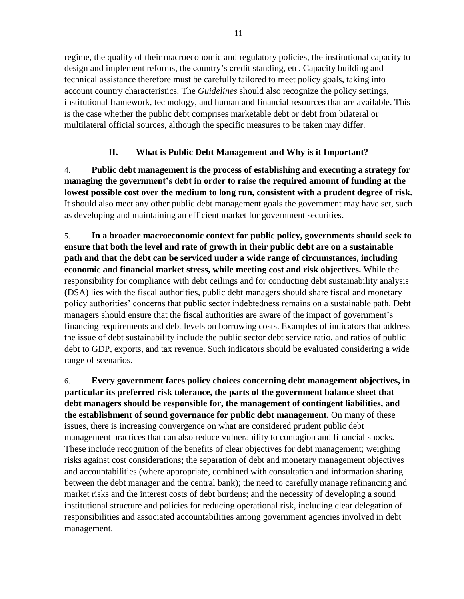regime, the quality of their macroeconomic and regulatory policies, the institutional capacity to design and implement reforms, the country's credit standing, etc. Capacity building and technical assistance therefore must be carefully tailored to meet policy goals, taking into account country characteristics. The *Guidelines* should also recognize the policy settings, institutional framework, technology, and human and financial resources that are available. This is the case whether the public debt comprises marketable debt or debt from bilateral or multilateral official sources, although the specific measures to be taken may differ.

# **II. What is Public Debt Management and Why is it Important?**

4. **Public debt management is the process of establishing and executing a strategy for managing the government's debt in order to raise the required amount of funding at the lowest possible cost over the medium to long run, consistent with a prudent degree of risk.** It should also meet any other public debt management goals the government may have set, such as developing and maintaining an efficient market for government securities.

5. **In a broader macroeconomic context for public policy, governments should seek to ensure that both the level and rate of growth in their public debt are on a sustainable path and that the debt can be serviced under a wide range of circumstances, including economic and financial market stress, while meeting cost and risk objectives.** While the responsibility for compliance with debt ceilings and for conducting debt sustainability analysis (DSA) lies with the fiscal authorities, public debt managers should share fiscal and monetary policy authorities' concerns that public sector indebtedness remains on a sustainable path. Debt managers should ensure that the fiscal authorities are aware of the impact of government's financing requirements and debt levels on borrowing costs. Examples of indicators that address the issue of debt sustainability include the public sector debt service ratio, and ratios of public debt to GDP, exports, and tax revenue. Such indicators should be evaluated considering a wide range of scenarios.

6. **Every government faces policy choices concerning debt management objectives, in particular its preferred risk tolerance, the parts of the government balance sheet that debt managers should be responsible for, the management of contingent liabilities, and the establishment of sound governance for public debt management.** On many of these issues, there is increasing convergence on what are considered prudent public debt management practices that can also reduce vulnerability to contagion and financial shocks. These include recognition of the benefits of clear objectives for debt management; weighing risks against cost considerations; the separation of debt and monetary management objectives and accountabilities (where appropriate, combined with consultation and information sharing between the debt manager and the central bank); the need to carefully manage refinancing and market risks and the interest costs of debt burdens; and the necessity of developing a sound institutional structure and policies for reducing operational risk, including clear delegation of responsibilities and associated accountabilities among government agencies involved in debt management.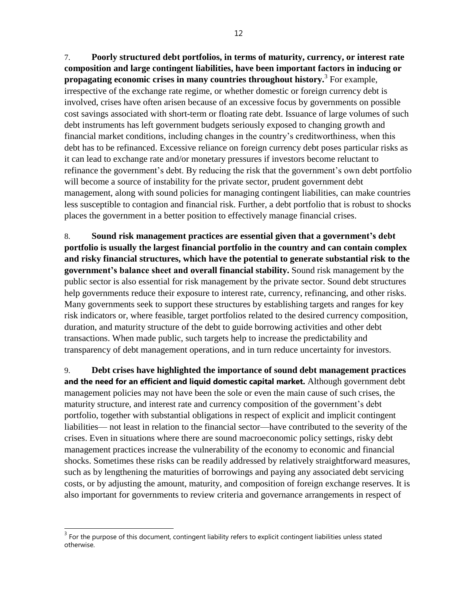7. **Poorly structured debt portfolios, in terms of maturity, currency, or interest rate composition and large contingent liabilities, have been important factors in inducing or propagating economic crises in many countries throughout history.**<sup>3</sup> For example, irrespective of the exchange rate regime, or whether domestic or foreign currency debt is involved, crises have often arisen because of an excessive focus by governments on possible cost savings associated with short-term or floating rate debt. Issuance of large volumes of such debt instruments has left government budgets seriously exposed to changing growth and financial market conditions, including changes in the country's creditworthiness, when this debt has to be refinanced. Excessive reliance on foreign currency debt poses particular risks as it can lead to exchange rate and/or monetary pressures if investors become reluctant to refinance the government's debt. By reducing the risk that the government's own debt portfolio will become a source of instability for the private sector, prudent government debt management, along with sound policies for managing contingent liabilities, can make countries less susceptible to contagion and financial risk. Further, a debt portfolio that is robust to shocks places the government in a better position to effectively manage financial crises.

8. **Sound risk management practices are essential given that a government's debt portfolio is usually the largest financial portfolio in the country and can contain complex and risky financial structures, which have the potential to generate substantial risk to the government's balance sheet and overall financial stability.** Sound risk management by the public sector is also essential for risk management by the private sector. Sound debt structures help governments reduce their exposure to interest rate, currency, refinancing, and other risks. Many governments seek to support these structures by establishing targets and ranges for key risk indicators or, where feasible, target portfolios related to the desired currency composition, duration, and maturity structure of the debt to guide borrowing activities and other debt transactions. When made public, such targets help to increase the predictability and transparency of debt management operations, and in turn reduce uncertainty for investors.

9. **Debt crises have highlighted the importance of sound debt management practices and the need for an efficient and liquid domestic capital market.** Although government debt management policies may not have been the sole or even the main cause of such crises, the maturity structure, and interest rate and currency composition of the government's debt portfolio, together with substantial obligations in respect of explicit and implicit contingent liabilities— not least in relation to the financial sector—have contributed to the severity of the crises. Even in situations where there are sound macroeconomic policy settings, risky debt management practices increase the vulnerability of the economy to economic and financial shocks. Sometimes these risks can be readily addressed by relatively straightforward measures, such as by lengthening the maturities of borrowings and paying any associated debt servicing costs, or by adjusting the amount, maturity, and composition of foreign exchange reserves. It is also important for governments to review criteria and governance arrangements in respect of

 $3$  For the purpose of this document, contingent liability refers to explicit contingent liabilities unless stated otherwise.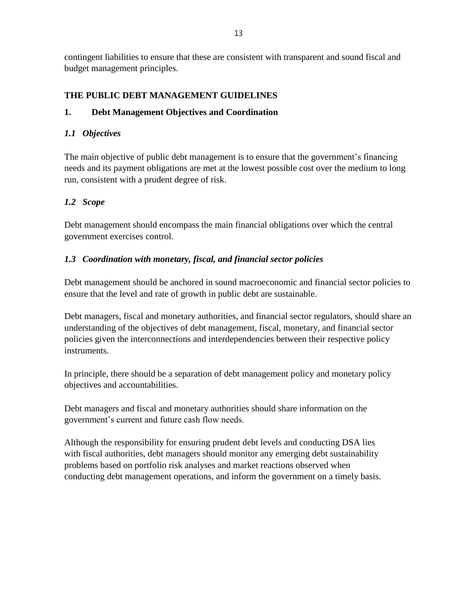contingent liabilities to ensure that these are consistent with transparent and sound fiscal and budget management principles.

## **THE PUBLIC DEBT MANAGEMENT GUIDELINES**

## **1. Debt Management Objectives and Coordination**

### *1.1 Objectives*

The main objective of public debt management is to ensure that the government's financing needs and its payment obligations are met at the lowest possible cost over the medium to long run, consistent with a prudent degree of risk.

## *1.2 Scope*

Debt management should encompass the main financial obligations over which the central government exercises control.

#### *1.3 Coordination with monetary, fiscal, and financial sector policies*

Debt management should be anchored in sound macroeconomic and financial sector policies to ensure that the level and rate of growth in public debt are sustainable.

Debt managers, fiscal and monetary authorities, and financial sector regulators, should share an understanding of the objectives of debt management, fiscal, monetary, and financial sector policies given the interconnections and interdependencies between their respective policy instruments.

In principle, there should be a separation of debt management policy and monetary policy objectives and accountabilities.

Debt managers and fiscal and monetary authorities should share information on the government's current and future cash flow needs.

Although the responsibility for ensuring prudent debt levels and conducting DSA lies with fiscal authorities, debt managers should monitor any emerging debt sustainability problems based on portfolio risk analyses and market reactions observed when conducting debt management operations, and inform the government on a timely basis.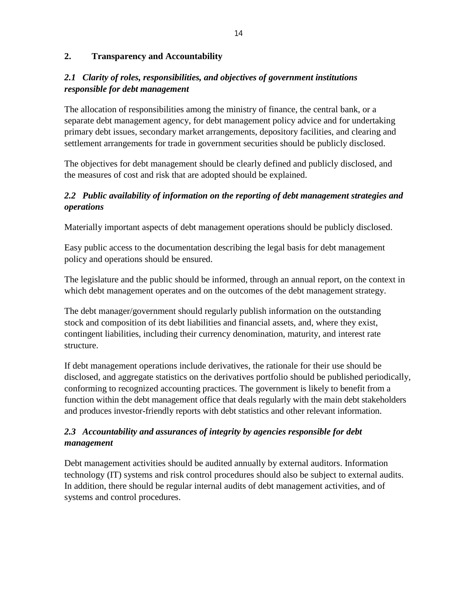### **2. Transparency and Accountability**

# *2.1 Clarity of roles, responsibilities, and objectives of government institutions responsible for debt management*

The allocation of responsibilities among the ministry of finance, the central bank, or a separate debt management agency, for debt management policy advice and for undertaking primary debt issues, secondary market arrangements, depository facilities, and clearing and settlement arrangements for trade in government securities should be publicly disclosed.

The objectives for debt management should be clearly defined and publicly disclosed, and the measures of cost and risk that are adopted should be explained.

# *2.2 Public availability of information on the reporting of debt management strategies and operations*

Materially important aspects of debt management operations should be publicly disclosed.

Easy public access to the documentation describing the legal basis for debt management policy and operations should be ensured.

The legislature and the public should be informed, through an annual report, on the context in which debt management operates and on the outcomes of the debt management strategy.

The debt manager/government should regularly publish information on the outstanding stock and composition of its debt liabilities and financial assets, and, where they exist, contingent liabilities, including their currency denomination, maturity, and interest rate structure.

If debt management operations include derivatives, the rationale for their use should be disclosed, and aggregate statistics on the derivatives portfolio should be published periodically, conforming to recognized accounting practices. The government is likely to benefit from a function within the debt management office that deals regularly with the main debt stakeholders and produces investor-friendly reports with debt statistics and other relevant information.

# *2.3 Accountability and assurances of integrity by agencies responsible for debt management*

Debt management activities should be audited annually by external auditors. Information technology (IT) systems and risk control procedures should also be subject to external audits. In addition, there should be regular internal audits of debt management activities, and of systems and control procedures.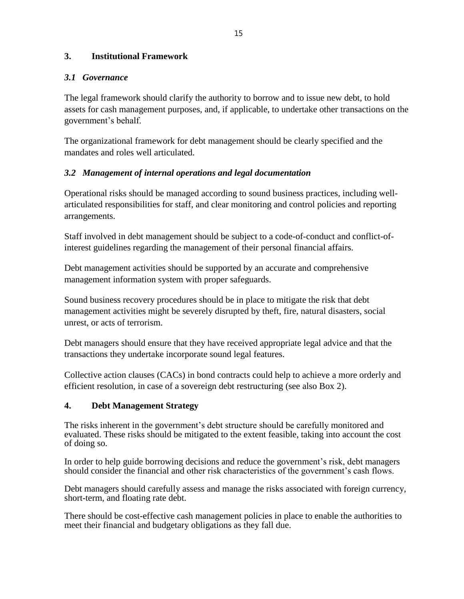## **3. Institutional Framework**

### *3.1 Governance*

The legal framework should clarify the authority to borrow and to issue new debt, to hold assets for cash management purposes, and, if applicable, to undertake other transactions on the government's behalf.

The organizational framework for debt management should be clearly specified and the mandates and roles well articulated.

## *3.2 Management of internal operations and legal documentation*

Operational risks should be managed according to sound business practices, including wellarticulated responsibilities for staff, and clear monitoring and control policies and reporting arrangements.

Staff involved in debt management should be subject to a code-of-conduct and conflict-ofinterest guidelines regarding the management of their personal financial affairs.

Debt management activities should be supported by an accurate and comprehensive management information system with proper safeguards.

Sound business recovery procedures should be in place to mitigate the risk that debt management activities might be severely disrupted by theft, fire, natural disasters, social unrest, or acts of terrorism.

Debt managers should ensure that they have received appropriate legal advice and that the transactions they undertake incorporate sound legal features.

Collective action clauses (CACs) in bond contracts could help to achieve a more orderly and efficient resolution, in case of a sovereign debt restructuring (see also Box 2).

## **4. Debt Management Strategy**

The risks inherent in the government's debt structure should be carefully monitored and evaluated. These risks should be mitigated to the extent feasible, taking into account the cost of doing so.

In order to help guide borrowing decisions and reduce the government's risk, debt managers should consider the financial and other risk characteristics of the government's cash flows.

Debt managers should carefully assess and manage the risks associated with foreign currency, short-term, and floating rate debt.

There should be cost-effective cash management policies in place to enable the authorities to meet their financial and budgetary obligations as they fall due.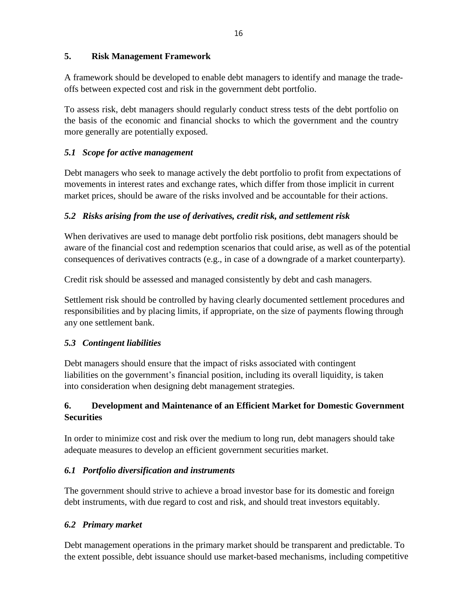# **5. Risk Management Framework**

A framework should be developed to enable debt managers to identify and manage the tradeoffs between expected cost and risk in the government debt portfolio.

To assess risk, debt managers should regularly conduct stress tests of the debt portfolio on the basis of the economic and financial shocks to which the government and the country more generally are potentially exposed.

# *5.1 Scope for active management*

Debt managers who seek to manage actively the debt portfolio to profit from expectations of movements in interest rates and exchange rates, which differ from those implicit in current market prices, should be aware of the risks involved and be accountable for their actions.

# *5.2 Risks arising from the use of derivatives, credit risk, and settlement risk*

When derivatives are used to manage debt portfolio risk positions, debt managers should be aware of the financial cost and redemption scenarios that could arise, as well as of the potential consequences of derivatives contracts (e.g., in case of a downgrade of a market counterparty).

Credit risk should be assessed and managed consistently by debt and cash managers.

Settlement risk should be controlled by having clearly documented settlement procedures and responsibilities and by placing limits, if appropriate, on the size of payments flowing through any one settlement bank.

# *5.3 Contingent liabilities*

Debt managers should ensure that the impact of risks associated with contingent liabilities on the government's financial position, including its overall liquidity, is taken into consideration when designing debt management strategies.

# **6. Development and Maintenance of an Efficient Market for Domestic Government Securities**

In order to minimize cost and risk over the medium to long run, debt managers should take adequate measures to develop an efficient government securities market.

# *6.1 Portfolio diversification and instruments*

The government should strive to achieve a broad investor base for its domestic and foreign debt instruments, with due regard to cost and risk, and should treat investors equitably.

# *6.2 Primary market*

Debt management operations in the primary market should be transparent and predictable. To the extent possible, debt issuance should use market-based mechanisms, including competitive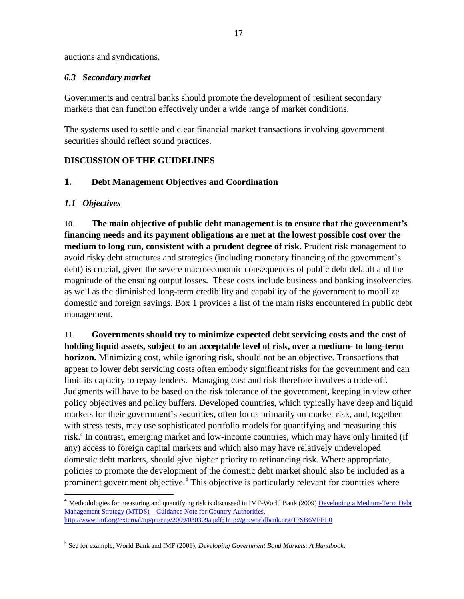auctions and syndications.

#### *6.3 Secondary market*

Governments and central banks should promote the development of resilient secondary markets that can function effectively under a wide range of market conditions.

The systems used to settle and clear financial market transactions involving government securities should reflect sound practices.

# **DISCUSSION OF THE GUIDELINES**

# **1. Debt Management Objectives and Coordination**

## *1.1 Objectives*

 $\overline{a}$ 

10. **The main objective of public debt management is to ensure that the government's financing needs and its payment obligations are met at the lowest possible cost over the medium to long run, consistent with a prudent degree of risk.** Prudent risk management to avoid risky debt structures and strategies (including monetary financing of the government's debt) is crucial, given the severe macroeconomic consequences of public debt default and the magnitude of the ensuing output losses. These costs include business and banking insolvencies as well as the diminished long-term credibility and capability of the government to mobilize domestic and foreign savings. Box 1 provides a list of the main risks encountered in public debt management.

11. **Governments should try to minimize expected debt servicing costs and the cost of holding liquid assets, subject to an acceptable level of risk, over a medium- to long-term horizon.** Minimizing cost, while ignoring risk, should not be an objective. Transactions that appear to lower debt servicing costs often embody significant risks for the government and can limit its capacity to repay lenders. Managing cost and risk therefore involves a trade-off. Judgments will have to be based on the risk tolerance of the government, keeping in view other policy objectives and policy buffers. Developed countries, which typically have deep and liquid markets for their government's securities, often focus primarily on market risk, and, together with stress tests, may use sophisticated portfolio models for quantifying and measuring this risk.<sup>4</sup> In contrast, emerging market and low-income countries, which may have only limited (if any) access to foreign capital markets and which also may have relatively undeveloped domestic debt markets, should give higher priority to refinancing risk. Where appropriate, policies to promote the development of the domestic debt market should also be included as a prominent government objective.<sup>5</sup> This objective is particularly relevant for countries where

<sup>&</sup>lt;sup>4</sup> Methodologies for measuring and quantifying risk is discussed in IMF-World Bank (2009) Developing a Medium-Term Debt Management Strategy (MTDS)—Guidance Note for Country Authorities, [http://www.imf.org/external/np/pp/eng/2009/030309a.pdf;](http://www.imf.org/external/np/pp/eng/2009/030309a.pdf)<http://go.worldbank.org/T7SB6VFEL0>

<sup>5</sup> See for example, World Bank and IMF (2001), *Developing Government Bond Markets: A Handbook*.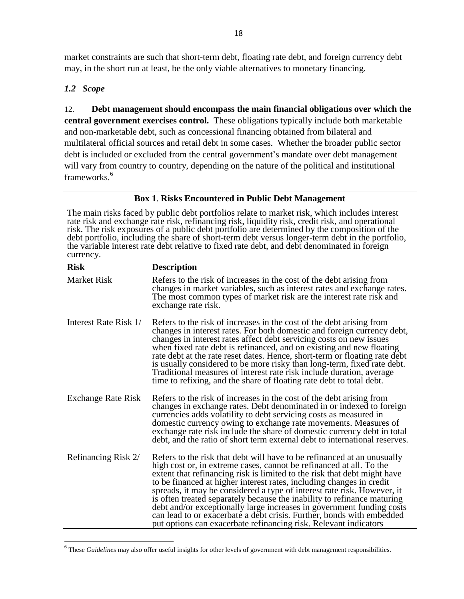market constraints are such that short-term debt, floating rate debt, and foreign currency debt may, in the short run at least, be the only viable alternatives to monetary financing.

# *1.2 Scope*

 $\overline{a}$ 

12. **Debt management should encompass the main financial obligations over which the central government exercises control.** These obligations typically include both marketable and non-marketable debt, such as concessional financing obtained from bilateral and multilateral official sources and retail debt in some cases. Whether the broader public sector debt is included or excluded from the central government's mandate over debt management will vary from country to country, depending on the nature of the political and institutional frameworks.<sup>6</sup>

**Box 1**. **Risks Encountered in Public Debt Management**

The main risks faced by public debt portfolios relate to market risk, which includes interest rate risk and exchange rate risk, refinancing risk, liquidity risk, credit risk, and operational risk. The risk exposures of a public debt portfolio are determined by the composition of the debt portfolio, including the share of short-term debt versus longer-term debt in the portfolio, the variable interest rate debt relative to fixed rate debt, and debt denominated in foreign currency.

| <b>Risk</b>               | <b>Description</b>                                                                                                                                                                                                                                                                                                                                                                                                                                                                                                                                                                                                                                                             |
|---------------------------|--------------------------------------------------------------------------------------------------------------------------------------------------------------------------------------------------------------------------------------------------------------------------------------------------------------------------------------------------------------------------------------------------------------------------------------------------------------------------------------------------------------------------------------------------------------------------------------------------------------------------------------------------------------------------------|
| <b>Market Risk</b>        | Refers to the risk of increases in the cost of the debt arising from<br>changes in market variables, such as interest rates and exchange rates.<br>The most common types of market risk are the interest rate risk and<br>exchange rate risk.                                                                                                                                                                                                                                                                                                                                                                                                                                  |
| Interest Rate Risk 1/     | Refers to the risk of increases in the cost of the debt arising from<br>changes in interest rates. For both domestic and foreign currency debt,<br>changes in interest rates affect debt servicing costs on new issues<br>when fixed rate debt is refinanced, and on existing and new floating<br>rate debt at the rate reset dates. Hence, short-term or floating rate debt<br>is usually considered to be more risky than long-term, fixed rate debt.<br>Traditional measures of interest rate risk include duration, average<br>time to refixing, and the share of floating rate debt to total debt.                                                                        |
| <b>Exchange Rate Risk</b> | Refers to the risk of increases in the cost of the debt arising from<br>changes in exchange rates. Debt denominated in or indexed to foreign<br>currencies adds volatility to debt servicing costs as measured in<br>domestic currency owing to exchange rate movements. Measures of<br>exchange rate risk include the share of domestic currency debt in total<br>debt, and the ratio of short term external debt to international reserves.                                                                                                                                                                                                                                  |
| Refinancing Risk 2/       | Refers to the risk that debt will have to be refinanced at an unusually<br>high cost or, in extreme cases, cannot be refinanced at all. To the<br>extent that refinancing risk is limited to the risk that debt might have<br>to be financed at higher interest rates, including changes in credit<br>spreads, it may be considered a type of interest rate risk. However, it<br>is often treated separately because the inability to refinance maturing<br>debt and/or exceptionally large increases in government funding costs<br>can lead to or exacerbate a debt crisis. Further, bonds with embedded<br>put options can exacerbate refinancing risk. Relevant indicators |

<sup>&</sup>lt;sup>6</sup> These *Guidelines* may also offer useful insights for other levels of government with debt management responsibilities.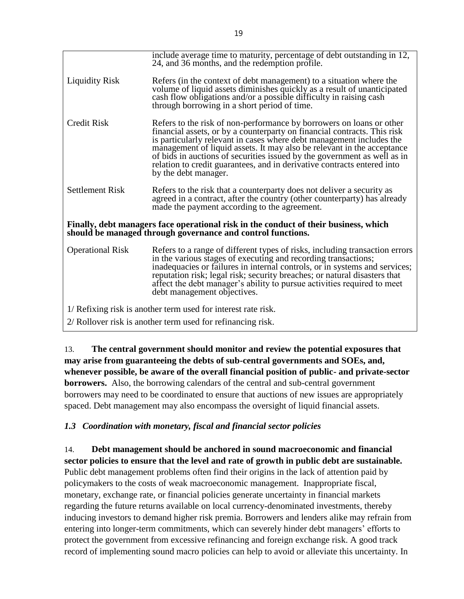|                                                                                                                                                     | include average time to maturity, percentage of debt outstanding in 12,<br>24, and 36 months, and the redemption profile.                                                                                                                                                                                                                                                                                                                                                         |  |
|-----------------------------------------------------------------------------------------------------------------------------------------------------|-----------------------------------------------------------------------------------------------------------------------------------------------------------------------------------------------------------------------------------------------------------------------------------------------------------------------------------------------------------------------------------------------------------------------------------------------------------------------------------|--|
| <b>Liquidity Risk</b>                                                                                                                               | Refers (in the context of debt management) to a situation where the<br>volume of liquid assets diminishes quickly as a result of unanticipated<br>cash flow obligations and/or a possible difficulty in raising cash<br>through borrowing in a short period of time.                                                                                                                                                                                                              |  |
| <b>Credit Risk</b>                                                                                                                                  | Refers to the risk of non-performance by borrowers on loans or other<br>financial assets, or by a counterparty on financial contracts. This risk<br>is particularly relevant in cases where debt management includes the<br>management of liquid assets. It may also be relevant in the acceptance<br>of bids in auctions of securities issued by the government as well as in<br>relation to credit guarantees, and in derivative contracts entered into<br>by the debt manager. |  |
| <b>Settlement Risk</b>                                                                                                                              | Refers to the risk that a counterparty does not deliver a security as<br>agreed in a contract, after the country (other counterparty) has already<br>made the payment according to the agreement.                                                                                                                                                                                                                                                                                 |  |
| Finally, debt managers face operational risk in the conduct of their business, which<br>should be managed through governance and control functions. |                                                                                                                                                                                                                                                                                                                                                                                                                                                                                   |  |
| <b>Operational Risk</b>                                                                                                                             | Refers to a range of different types of risks, including transaction errors<br>in the various stages of executing and recording transactions;<br>inadequacies or failures in internal controls, or in systems and services;<br>reputation risk; legal risk; security breaches; or natural disasters that<br>affect the debt manager's ability to pursue activities required to meet<br>debt management objectives.                                                                |  |
| 1/ Refixing risk is another term used for interest rate risk.                                                                                       |                                                                                                                                                                                                                                                                                                                                                                                                                                                                                   |  |
| 2/ Rollover risk is another term used for refinancing risk.                                                                                         |                                                                                                                                                                                                                                                                                                                                                                                                                                                                                   |  |

13. **The central government should monitor and review the potential exposures that may arise from guaranteeing the debts of sub-central governments and SOEs, and, whenever possible, be aware of the overall financial position of public- and private-sector borrowers.** Also, the borrowing calendars of the central and sub-central government borrowers may need to be coordinated to ensure that auctions of new issues are appropriately spaced. Debt management may also encompass the oversight of liquid financial assets.

# *1.3 Coordination with monetary, fiscal and financial sector policies*

14. **Debt management should be anchored in sound macroeconomic and financial sector policies to ensure that the level and rate of growth in public debt are sustainable.** Public debt management problems often find their origins in the lack of attention paid by policymakers to the costs of weak macroeconomic management. Inappropriate fiscal, monetary, exchange rate, or financial policies generate uncertainty in financial markets regarding the future returns available on local currency-denominated investments, thereby inducing investors to demand higher risk premia. Borrowers and lenders alike may refrain from entering into longer-term commitments, which can severely hinder debt managers' efforts to protect the government from excessive refinancing and foreign exchange risk. A good track record of implementing sound macro policies can help to avoid or alleviate this uncertainty. In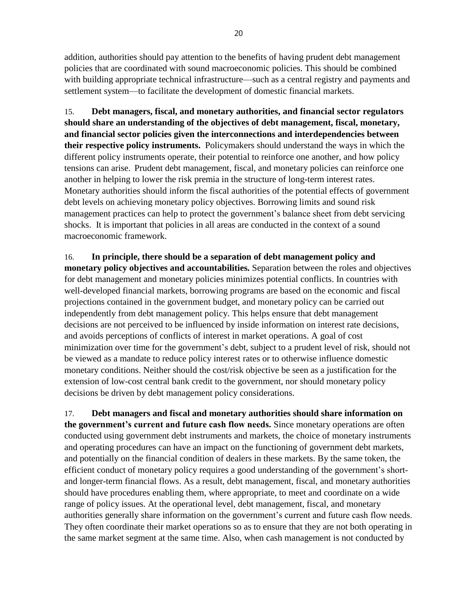addition, authorities should pay attention to the benefits of having prudent debt management policies that are coordinated with sound macroeconomic policies. This should be combined with building appropriate technical infrastructure—such as a central registry and payments and settlement system—to facilitate the development of domestic financial markets.

15. **Debt managers, fiscal, and monetary authorities, and financial sector regulators should share an understanding of the objectives of debt management, fiscal, monetary, and financial sector policies given the interconnections and interdependencies between their respective policy instruments.** Policymakers should understand the ways in which the different policy instruments operate, their potential to reinforce one another, and how policy tensions can arise. Prudent debt management, fiscal, and monetary policies can reinforce one another in helping to lower the risk premia in the structure of long-term interest rates. Monetary authorities should inform the fiscal authorities of the potential effects of government debt levels on achieving monetary policy objectives. Borrowing limits and sound risk management practices can help to protect the government's balance sheet from debt servicing shocks. It is important that policies in all areas are conducted in the context of a sound macroeconomic framework.

16. **In principle, there should be a separation of debt management policy and monetary policy objectives and accountabilities.** Separation between the roles and objectives for debt management and monetary policies minimizes potential conflicts. In countries with well-developed financial markets, borrowing programs are based on the economic and fiscal projections contained in the government budget, and monetary policy can be carried out independently from debt management policy. This helps ensure that debt management decisions are not perceived to be influenced by inside information on interest rate decisions, and avoids perceptions of conflicts of interest in market operations. A goal of cost minimization over time for the government's debt, subject to a prudent level of risk, should not be viewed as a mandate to reduce policy interest rates or to otherwise influence domestic monetary conditions. Neither should the cost/risk objective be seen as a justification for the extension of low-cost central bank credit to the government, nor should monetary policy decisions be driven by debt management policy considerations.

17. **Debt managers and fiscal and monetary authorities should share information on the government's current and future cash flow needs.** Since monetary operations are often conducted using government debt instruments and markets, the choice of monetary instruments and operating procedures can have an impact on the functioning of government debt markets, and potentially on the financial condition of dealers in these markets. By the same token, the efficient conduct of monetary policy requires a good understanding of the government's shortand longer-term financial flows. As a result, debt management, fiscal, and monetary authorities should have procedures enabling them, where appropriate, to meet and coordinate on a wide range of policy issues. At the operational level, debt management, fiscal, and monetary authorities generally share information on the government's current and future cash flow needs. They often coordinate their market operations so as to ensure that they are not both operating in the same market segment at the same time. Also, when cash management is not conducted by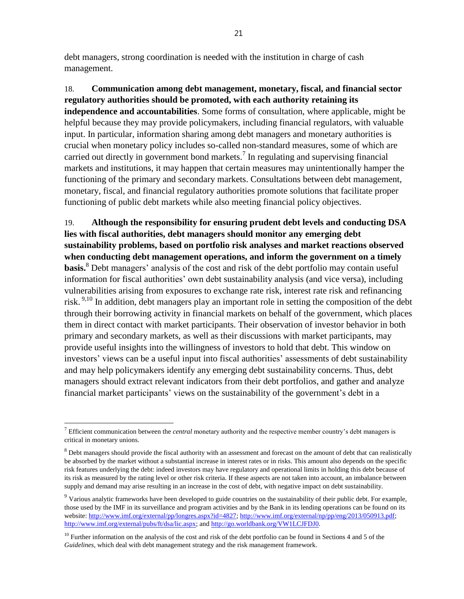debt managers, strong coordination is needed with the institution in charge of cash management.

18. **Communication among debt management, monetary, fiscal, and financial sector regulatory authorities should be promoted, with each authority retaining its independence and accountabilities**. Some forms of consultation, where applicable, might be helpful because they may provide policymakers, including financial regulators, with valuable input. In particular, information sharing among debt managers and monetary authorities is crucial when monetary policy includes so-called non-standard measures, some of which are carried out directly in government bond markets.<sup>7</sup> In regulating and supervising financial markets and institutions, it may happen that certain measures may unintentionally hamper the functioning of the primary and secondary markets. Consultations between debt management, monetary, fiscal, and financial regulatory authorities promote solutions that facilitate proper functioning of public debt markets while also meeting financial policy objectives.

19. **Although the responsibility for ensuring prudent debt levels and conducting DSA lies with fiscal authorities, debt managers should monitor any emerging debt sustainability problems, based on portfolio risk analyses and market reactions observed when conducting debt management operations, and inform the government on a timely basis.**<sup>8</sup> Debt managers' analysis of the cost and risk of the debt portfolio may contain useful information for fiscal authorities' own debt sustainability analysis (and vice versa), including vulnerabilities arising from exposures to exchange rate risk, interest rate risk and refinancing risk.<sup>9,10</sup> In addition, debt managers play an important role in setting the composition of the debt through their borrowing activity in financial markets on behalf of the government, which places them in direct contact with market participants. Their observation of investor behavior in both primary and secondary markets, as well as their discussions with market participants, may provide useful insights into the willingness of investors to hold that debt. This window on investors' views can be a useful input into fiscal authorities' assessments of debt sustainability and may help policymakers identify any emerging debt sustainability concerns. Thus, debt managers should extract relevant indicators from their debt portfolios, and gather and analyze financial market participants' views on the sustainability of the government's debt in a

<sup>&</sup>lt;sup>7</sup> Efficient communication between the *central* monetary authority and the respective member country's debt managers is critical in monetary unions.

<sup>&</sup>lt;sup>8</sup> Debt managers should provide the fiscal authority with an assessment and forecast on the amount of debt that can realistically be absorbed by the market without a substantial increase in interest rates or in risks. This amount also depends on the specific risk features underlying the debt: indeed investors may have regulatory and operational limits in holding this debt because of its risk as measured by the rating level or other risk criteria. If these aspects are not taken into account, an imbalance between supply and demand may arise resulting in an increase in the cost of debt, with negative impact on debt sustainability.

<sup>&</sup>lt;sup>9</sup> Various analytic frameworks have been developed to guide countries on the sustainability of their public debt. For example, those used by the IMF in its surveillance and program activities and by the Bank in its lending operations can be found on its website: [http://www.imf.org/external/pp/longres.aspx?id=4827;](http://www.imf.org/external/pp/longres.aspx?id=4827) [http://www.imf.org/external/np/pp/eng/2013/050913.pdf;](http://www.imf.org/external/np/pp/eng/2013/050913.pdf) [http://www.imf.org/external/pubs/ft/dsa/lic.aspx;](http://www.imf.org/external/pubs/ft/dsa/lic.aspx) an[d http://go.worldbank.org/VW1LCJFDJ0.](http://go.worldbank.org/VW1LCJFDJ0)

 $10$  Further information on the analysis of the cost and risk of the debt portfolio can be found in Sections 4 and 5 of the *Guidelines*, which deal with debt management strategy and the risk management framework.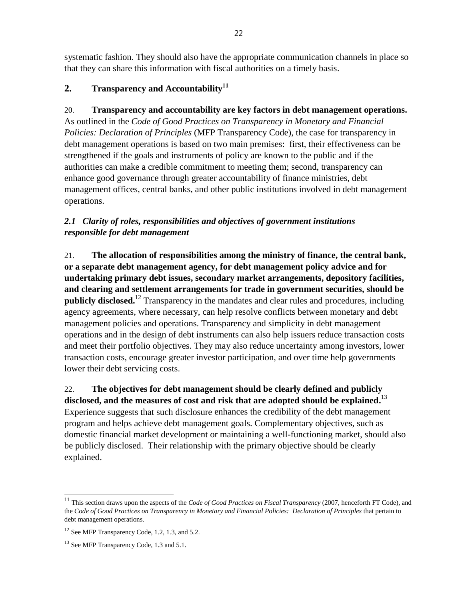systematic fashion. They should also have the appropriate communication channels in place so that they can share this information with fiscal authorities on a timely basis.

# **2. Transparency and Accountability<sup>11</sup>**

## 20. **Transparency and accountability are key factors in debt management operations.**

As outlined in the *Code of Good Practices on Transparency in Monetary and Financial Policies: Declaration of Principles* (MFP Transparency Code)*,* the case for transparency in debt management operations is based on two main premises: first, their effectiveness can be strengthened if the goals and instruments of policy are known to the public and if the authorities can make a credible commitment to meeting them; second, transparency can enhance good governance through greater accountability of finance ministries, debt management offices, central banks, and other public institutions involved in debt management operations.

# *2.1 Clarity of roles, responsibilities and objectives of government institutions responsible for debt management*

21. **The allocation of responsibilities among the ministry of finance, the central bank, or a separate debt management agency, for debt management policy advice and for undertaking primary debt issues, secondary market arrangements, depository facilities, and clearing and settlement arrangements for trade in government securities, should be publicly disclosed.** <sup>12</sup> Transparency in the mandates and clear rules and procedures, including agency agreements, where necessary, can help resolve conflicts between monetary and debt management policies and operations. Transparency and simplicity in debt management operations and in the design of debt instruments can also help issuers reduce transaction costs and meet their portfolio objectives. They may also reduce uncertainty among investors, lower transaction costs, encourage greater investor participation, and over time help governments lower their debt servicing costs.

# 22. **The objectives for debt management should be clearly defined and publicly disclosed, and the measures of cost and risk that are adopted should be explained.** 13

Experience suggests that such disclosure enhances the credibility of the debt management program and helps achieve debt management goals. Complementary objectives, such as domestic financial market development or maintaining a well-functioning market, should also be publicly disclosed. Their relationship with the primary objective should be clearly explained.

<sup>11</sup> This section draws upon the aspects of the *Code of Good Practices on Fiscal Transparency* (2007, henceforth FT Code), and the *Code of Good Practices on Transparency in Monetary and Financial Policies: Declaration of Principles* that pertain to debt management operations.

<sup>&</sup>lt;sup>12</sup> See MFP Transparency Code, 1.2, 1.3, and 5.2.

<sup>&</sup>lt;sup>13</sup> See MFP Transparency Code, 1.3 and 5.1.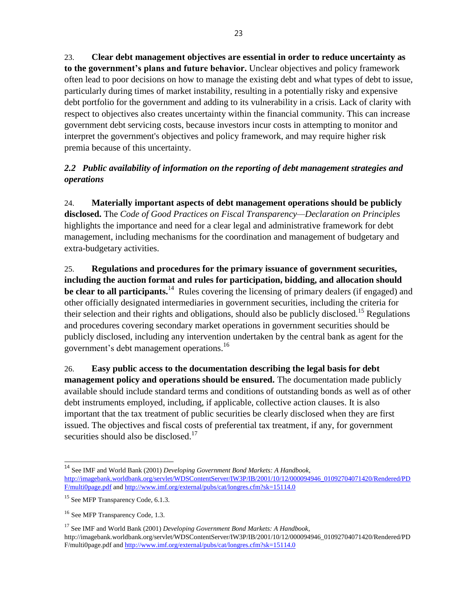23. **Clear debt management objectives are essential in order to reduce uncertainty as to the government's plans and future behavior.** Unclear objectives and policy framework often lead to poor decisions on how to manage the existing debt and what types of debt to issue, particularly during times of market instability, resulting in a potentially risky and expensive debt portfolio for the government and adding to its vulnerability in a crisis. Lack of clarity with respect to objectives also creates uncertainty within the financial community. This can increase government debt servicing costs, because investors incur costs in attempting to monitor and interpret the government's objectives and policy framework, and may require higher risk premia because of this uncertainty.

# *2.2 Public availability of information on the reporting of debt management strategies and operations*

24. **Materially important aspects of debt management operations should be publicly disclosed.** The *Code of Good Practices on Fiscal Transparency—Declaration on Principles*  highlights the importance and need for a clear legal and administrative framework for debt management, including mechanisms for the coordination and management of budgetary and extra-budgetary activities.

25. **Regulations and procedures for the primary issuance of government securities, including the auction format and rules for participation, bidding, and allocation should be clear to all participants.**<sup>14</sup> Rules covering the licensing of primary dealers (if engaged) and other officially designated intermediaries in government securities, including the criteria for their selection and their rights and obligations, should also be publicly disclosed.<sup>15</sup> Regulations and procedures covering secondary market operations in government securities should be publicly disclosed, including any intervention undertaken by the central bank as agent for the government's debt management operations.<sup>16</sup>

26. **Easy public access to the documentation describing the legal basis for debt management policy and operations should be ensured.** The documentation made publicly available should include standard terms and conditions of outstanding bonds as well as of other debt instruments employed, including, if applicable, collective action clauses. It is also important that the tax treatment of public securities be clearly disclosed when they are first issued. The objectives and fiscal costs of preferential tax treatment, if any, for government securities should also be disclosed. $17$ 

 $\overline{a}$ 

<sup>17</sup> See IMF and World Bank (2001) *Developing Government Bond Markets: A Handbook*, http://imagebank.worldbank.org/servlet/WDSContentServer/IW3P/IB/2001/10/12/000094946\_01092704071420/Rendered/PD F/multi0page.pdf an[d http://www.imf.org/external/pubs/cat/longres.cfm?sk=15114.0](http://www.imf.org/external/pubs/cat/longres.cfm?sk=15114.0)

<sup>14</sup> See IMF and World Bank (2001) *Developing Government Bond Markets: A Handbook*, [http://imagebank.worldbank.org/servlet/WDSContentServer/IW3P/IB/2001/10/12/000094946\\_01092704071420/Rendered/PD](http://imagebank.worldbank.org/servlet/WDSContentServer/IW3P/IB/2001/10/12/000094946_01092704071420/Rendered/PDF/multi0page.pdf) [F/multi0page.pdf](http://imagebank.worldbank.org/servlet/WDSContentServer/IW3P/IB/2001/10/12/000094946_01092704071420/Rendered/PDF/multi0page.pdf) an[d http://www.imf.org/external/pubs/cat/longres.cfm?sk=15114.0](http://www.imf.org/external/pubs/cat/longres.cfm?sk=15114.0)

<sup>&</sup>lt;sup>15</sup> See MFP Transparency Code, 6.1.3.

<sup>&</sup>lt;sup>16</sup> See MFP Transparency Code, 1.3.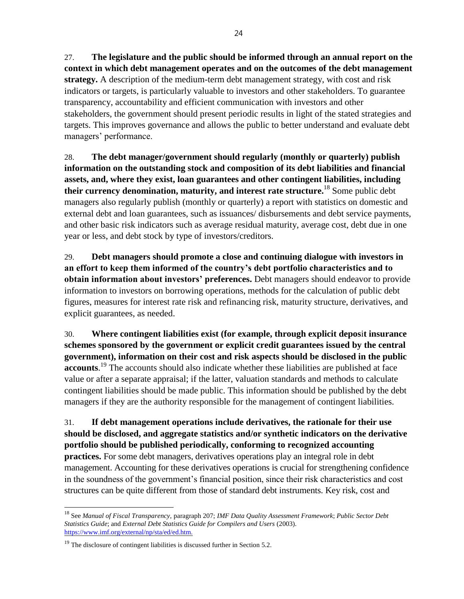27. **The legislature and the public should be informed through an annual report on the context in which debt management operates and on the outcomes of the debt management strategy.** A description of the medium-term debt management strategy, with cost and risk indicators or targets, is particularly valuable to investors and other stakeholders. To guarantee transparency, accountability and efficient communication with investors and other stakeholders, the government should present periodic results in light of the stated strategies and targets. This improves governance and allows the public to better understand and evaluate debt managers' performance.

28. **The debt manager/government should regularly (monthly or quarterly) publish information on the outstanding stock and composition of its debt liabilities and financial assets, and, where they exist, loan guarantees and other contingent liabilities, including their currency denomination, maturity, and interest rate structure.** <sup>18</sup> Some public debt managers also regularly publish (monthly or quarterly) a report with statistics on domestic and external debt and loan guarantees, such as issuances/ disbursements and debt service payments, and other basic risk indicators such as average residual maturity, average cost, debt due in one year or less, and debt stock by type of investors/creditors.

29. **Debt managers should promote a close and continuing dialogue with investors in an effort to keep them informed of the country's debt portfolio characteristics and to obtain information about investors' preferences.** Debt managers should endeavor to provide information to investors on borrowing operations, methods for the calculation of public debt figures, measures for interest rate risk and refinancing risk, maturity structure, derivatives, and explicit guarantees, as needed.

30. **Where contingent liabilities exist (for example, through explicit depos**i**t insurance schemes sponsored by the government or explicit credit guarantees issued by the central government), information on their cost and risk aspects should be disclosed in the public accounts**. <sup>19</sup> The accounts should also indicate whether these liabilities are published at face value or after a separate appraisal; if the latter, valuation standards and methods to calculate contingent liabilities should be made public. This information should be published by the debt managers if they are the authority responsible for the management of contingent liabilities.

31. **If debt management operations include derivatives, the rationale for their use should be disclosed, and aggregate statistics and/or synthetic indicators on the derivative portfolio should be published periodically, conforming to recognized accounting practices.** For some debt managers, derivatives operations play an integral role in debt management. Accounting for these derivatives operations is crucial for strengthening confidence in the soundness of the government's financial position, since their risk characteristics and cost structures can be quite different from those of standard debt instruments. Key risk, cost and

<sup>18</sup> See *Manual of Fiscal Transparency,* paragraph 207; *IMF Data Quality Assessment Framework*; *Public Sector Debt Statistics Guide*; and *External Debt Statistics Guide for Compilers and Users* (2003). <https://www.imf.org/external/np/sta/ed/ed.htm.>

 $19$  The disclosure of contingent liabilities is discussed further in Section 5.2.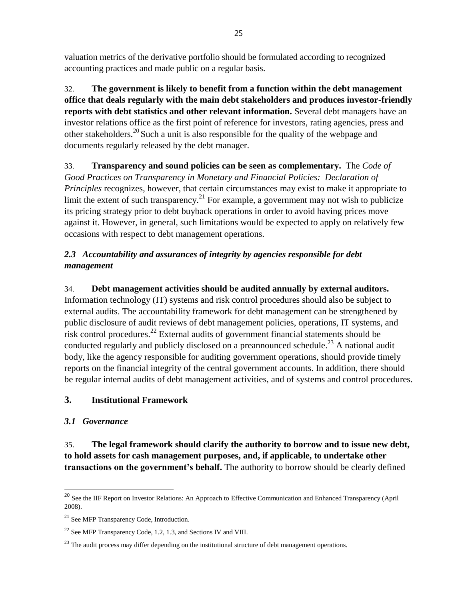valuation metrics of the derivative portfolio should be formulated according to recognized accounting practices and made public on a regular basis.

32. **The government is likely to benefit from a function within the debt management office that deals regularly with the main debt stakeholders and produces investor-friendly reports with debt statistics and other relevant information.** Several debt managers have an investor relations office as the first point of reference for investors, rating agencies, press and other stakeholders.<sup>20</sup> Such a unit is also responsible for the quality of the webpage and documents regularly released by the debt manager.

33. **Transparency and sound policies can be seen as complementary.** The *Code of Good Practices on Transparency in Monetary and Financial Policies: Declaration of Principles recognizes, however, that certain circumstances may exist to make it appropriate to* limit the extent of such transparency.<sup>21</sup> For example, a government may not wish to publicize its pricing strategy prior to debt buyback operations in order to avoid having prices move against it. However, in general, such limitations would be expected to apply on relatively few occasions with respect to debt management operations.

# *2.3 Accountability and assurances of integrity by agencies responsible for debt management*

# 34. **Debt management activities should be audited annually by external auditors.**

Information technology (IT) systems and risk control procedures should also be subject to external audits. The accountability framework for debt management can be strengthened by public disclosure of audit reviews of debt management policies, operations, IT systems, and risk control procedures.<sup>22</sup> External audits of government financial statements should be conducted regularly and publicly disclosed on a preannounced schedule.<sup>23</sup> A national audit body, like the agency responsible for auditing government operations, should provide timely reports on the financial integrity of the central government accounts. In addition, there should be regular internal audits of debt management activities, and of systems and control procedures.

## **3. Institutional Framework**

## *3.1 Governance*

 $\overline{a}$ 

35. **The legal framework should clarify the authority to borrow and to issue new debt, to hold assets for cash management purposes, and, if applicable, to undertake other transactions on the government's behalf.** The authority to borrow should be clearly defined

<sup>&</sup>lt;sup>20</sup> See the IIF Report on Investor Relations: An Approach to Effective Communication and Enhanced Transparency (April 2008).

<sup>&</sup>lt;sup>21</sup> See MFP Transparency Code, Introduction.

<sup>22</sup> See MFP Transparency Code, 1.2, 1.3, and Sections IV and VIII.

<sup>&</sup>lt;sup>23</sup> The audit process may differ depending on the institutional structure of debt management operations.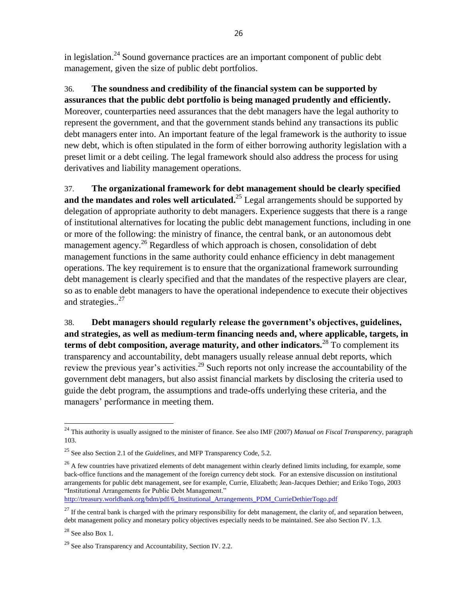in legislation.<sup>24</sup> Sound governance practices are an important component of public debt management, given the size of public debt portfolios.

36. **The soundness and credibility of the financial system can be supported by assurances that the public debt portfolio is being managed prudently and efficiently.** Moreover, counterparties need assurances that the debt managers have the legal authority to represent the government, and that the government stands behind any transactions its public debt managers enter into. An important feature of the legal framework is the authority to issue new debt, which is often stipulated in the form of either borrowing authority legislation with a preset limit or a debt ceiling. The legal framework should also address the process for using derivatives and liability management operations.

37. **The organizational framework for debt management should be clearly specified**  and the mandates and roles well articulated.<sup>25</sup> Legal arrangements should be supported by delegation of appropriate authority to debt managers. Experience suggests that there is a range of institutional alternatives for locating the public debt management functions, including in one or more of the following: the ministry of finance, the central bank, or an autonomous debt management agency.<sup>26</sup> Regardless of which approach is chosen, consolidation of debt management functions in the same authority could enhance efficiency in debt management operations. The key requirement is to ensure that the organizational framework surrounding debt management is clearly specified and that the mandates of the respective players are clear, so as to enable debt managers to have the operational independence to execute their objectives and strategies..<sup>27</sup>

38. **Debt managers should regularly release the government's objectives, guidelines, and strategies, as well as medium-term financing needs and, where applicable, targets, in terms of debt composition, average maturity, and other indicators.**<sup>28</sup> To complement its transparency and accountability, debt managers usually release annual debt reports, which review the previous year's activities.<sup>29</sup> Such reports not only increase the accountability of the government debt managers, but also assist financial markets by disclosing the criteria used to guide the debt program, the assumptions and trade-offs underlying these criteria, and the managers' performance in meeting them.

[http://treasury.worldbank.org/bdm/pdf/6\\_Institutional\\_Arrangements\\_PDM\\_CurrieDethierTogo.pdf](http://treasury.worldbank.org/bdm/pdf/6_Institutional_Arrangements_PDM_CurrieDethierTogo.pdf)

<sup>24</sup> This authority is usually assigned to the minister of finance. See also IMF (2007) *Manual on Fiscal Transparency*, paragraph 103.

<sup>25</sup> See also Section 2.1 of the *Guidelines*, and MFP Transparency Code, 5.2.

 $^{26}$  A few countries have privatized elements of debt management within clearly defined limits including, for example, some back-office functions and the management of the foreign currency debt stock. For an extensive discussion on institutional arrangements for public debt management, see for example, Currie, Elizabeth; Jean-Jacques Dethier; and Eriko Togo, 2003 "Institutional Arrangements for Public Debt Management."

 $27$  If the central bank is charged with the primary responsibility for debt management, the clarity of, and separation between, debt management policy and monetary policy objectives especially needs to be maintained. See also Section IV. 1.3.

 $28$  See also Box 1.

<sup>&</sup>lt;sup>29</sup> See also Transparency and Accountability, Section IV. 2.2.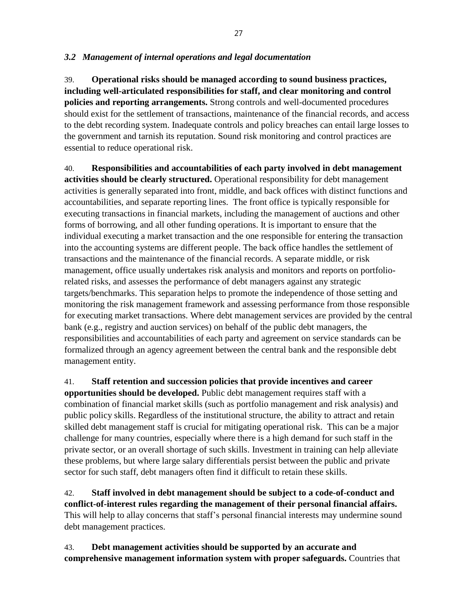#### *3.2 Management of internal operations and legal documentation*

39. **Operational risks should be managed according to sound business practices, including well-articulated responsibilities for staff, and clear monitoring and control policies and reporting arrangements.** Strong controls and well-documented procedures should exist for the settlement of transactions, maintenance of the financial records, and access to the debt recording system. Inadequate controls and policy breaches can entail large losses to the government and tarnish its reputation. Sound risk monitoring and control practices are essential to reduce operational risk.

40. **Responsibilities and accountabilities of each party involved in debt management activities should be clearly structured.** Operational responsibility for debt management activities is generally separated into front, middle, and back offices with distinct functions and accountabilities, and separate reporting lines. The front office is typically responsible for executing transactions in financial markets, including the management of auctions and other forms of borrowing, and all other funding operations. It is important to ensure that the individual executing a market transaction and the one responsible for entering the transaction into the accounting systems are different people. The back office handles the settlement of transactions and the maintenance of the financial records. A separate middle, or risk management, office usually undertakes risk analysis and monitors and reports on portfoliorelated risks, and assesses the performance of debt managers against any strategic targets/benchmarks. This separation helps to promote the independence of those setting and monitoring the risk management framework and assessing performance from those responsible for executing market transactions. Where debt management services are provided by the central bank (e.g., registry and auction services) on behalf of the public debt managers, the responsibilities and accountabilities of each party and agreement on service standards can be formalized through an agency agreement between the central bank and the responsible debt management entity.

41. **Staff retention and succession policies that provide incentives and career opportunities should be developed.** Public debt management requires staff with a combination of financial market skills (such as portfolio management and risk analysis) and public policy skills. Regardless of the institutional structure, the ability to attract and retain skilled debt management staff is crucial for mitigating operational risk. This can be a major challenge for many countries, especially where there is a high demand for such staff in the private sector, or an overall shortage of such skills. Investment in training can help alleviate these problems, but where large salary differentials persist between the public and private sector for such staff, debt managers often find it difficult to retain these skills.

42. **Staff involved in debt management should be subject to a code-of-conduct and conflict-of-interest rules regarding the management of their personal financial affairs.** This will help to allay concerns that staff's personal financial interests may undermine sound debt management practices.

43. **Debt management activities should be supported by an accurate and comprehensive management information system with proper safeguards.** Countries that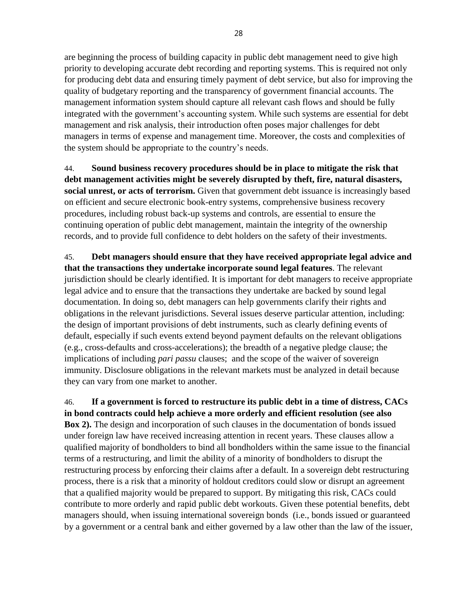are beginning the process of building capacity in public debt management need to give high priority to developing accurate debt recording and reporting systems. This is required not only for producing debt data and ensuring timely payment of debt service, but also for improving the quality of budgetary reporting and the transparency of government financial accounts. The management information system should capture all relevant cash flows and should be fully integrated with the government's accounting system. While such systems are essential for debt management and risk analysis, their introduction often poses major challenges for debt managers in terms of expense and management time. Moreover, the costs and complexities of the system should be appropriate to the country's needs.

44. **Sound business recovery procedures should be in place to mitigate the risk that debt management activities might be severely disrupted by theft, fire, natural disasters, social unrest, or acts of terrorism.** Given that government debt issuance is increasingly based on efficient and secure electronic book-entry systems, comprehensive business recovery procedures, including robust back-up systems and controls, are essential to ensure the continuing operation of public debt management, maintain the integrity of the ownership records, and to provide full confidence to debt holders on the safety of their investments.

45. **Debt managers should ensure that they have received appropriate legal advice and that the transactions they undertake incorporate sound legal features**. The relevant jurisdiction should be clearly identified. It is important for debt managers to receive appropriate legal advice and to ensure that the transactions they undertake are backed by sound legal documentation. In doing so, debt managers can help governments clarify their rights and obligations in the relevant jurisdictions. Several issues deserve particular attention, including: the design of important provisions of debt instruments, such as clearly defining events of default, especially if such events extend beyond payment defaults on the relevant obligations (e.g., cross-defaults and cross-accelerations); the breadth of a negative pledge clause; the implications of including *pari passu* clauses; and the scope of the waiver of sovereign immunity. Disclosure obligations in the relevant markets must be analyzed in detail because they can vary from one market to another.

46. **If a government is forced to restructure its public debt in a time of distress, CACs in bond contracts could help achieve a more orderly and efficient resolution (see also Box 2).** The design and incorporation of such clauses in the documentation of bonds issued under foreign law have received increasing attention in recent years. These clauses allow a qualified majority of bondholders to bind all bondholders within the same issue to the financial terms of a restructuring, and limit the ability of a minority of bondholders to disrupt the restructuring process by enforcing their claims after a default. In a sovereign debt restructuring process, there is a risk that a minority of holdout creditors could slow or disrupt an agreement that a qualified majority would be prepared to support. By mitigating this risk, CACs could contribute to more orderly and rapid public debt workouts. Given these potential benefits, debt managers should, when issuing international sovereign bonds (i.e., bonds issued or guaranteed by a government or a central bank and either governed by a law other than the law of the issuer,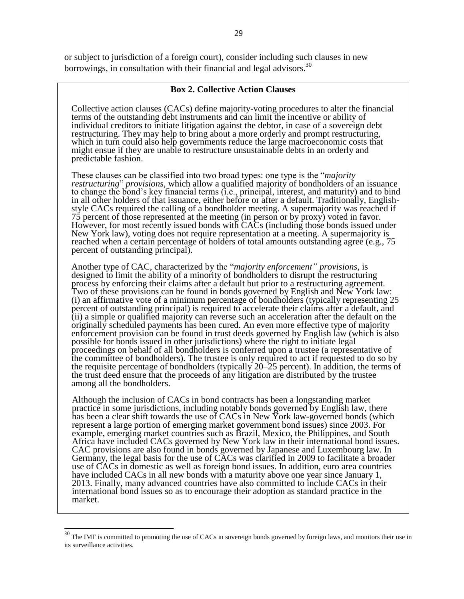or subject to jurisdiction of a foreign court), consider including such clauses in new borrowings, in consultation with their financial and legal advisors.<sup>30</sup>

#### **Box 2. Collective Action Clauses**

Collective action clauses (CACs) define majority-voting procedures to alter the financial terms of the outstanding debt instruments and can limit the incentive or ability of individual creditors to initiate litigation against the debtor, in case of a sovereign debt restructuring. They may help to bring about a more orderly and prompt restructuring, which in turn could also help governments reduce the large macroeconomic costs that might ensue if they are unable to restructure unsustainable debts in an orderly and predictable fashion.

These clauses can be classified into two broad types: one type is the "*majority restructuring*" *provisions*, which allow a qualified majority of bondholders of an issuance to change the bond's key financial terms (i.e., principal, interest, and maturity) and to bind in all other holders of that issuance, either before or after a default. Traditionally, Englishstyle CACs required the calling of a bondholder meeting. A supermajority was reached if 75 percent of those represented at the meeting (in person or by proxy) voted in favor. However, for most recently issued bonds with CACs (including those bonds issued under New York law), voting does not require representation at a meeting. A supermajority is reached when a certain percentage of holders of total amounts outstanding agree (e.g., 75 percent of outstanding principal).

Another type of CAC, characterized by the "*majority enforcement" provisions*, is designed to limit the ability of a minority of bondholders to disrupt the restructuring process by enforcing their claims after a default but prior to a restructuring agreement. Two of these provisions can be found in bonds governed by English and New York law: (i) an affirmative vote of a minimum percentage of bondholders (typically representing 25 percent of outstanding principal) is required to accelerate their claims after a default, and (ii) a simple or qualified majority can reverse such an acceleration after the default on the originally scheduled payments has been cured. An even more effective type of majority enforcement provision can be found in trust deeds governed by English law (which is also possible for bonds issued in other jurisdictions) where the right to initiate legal proceedings on behalf of all bondholders is conferred upon a trustee (a representative of the committee of bondholders). The trustee is only required to act if requested to do so by the requisite percentage of bondholders (typically 20–25 percent). In addition, the terms of the trust deed ensure that the proceeds of any litigation are distributed by the trustee among all the bondholders.

Although the inclusion of CACs in bond contracts has been a longstanding market practice in some jurisdictions, including notably bonds governed by English law, there has been a clear shift towards the use of CACs in New York law-governed bonds (which represent a large portion of emerging market government bond issues) since 2003. For example, emerging market countries such as Brazil, Mexico, the Philippines, and South Africa have included CACs governed by New York law in their international bond issues. CAC provisions are also found in bonds governed by Japanese and Luxembourg law. In Germany, the legal basis for the use of CACs was clarified in 2009 to facilitate a broader use of CACs in domestic as well as foreign bond issues. In addition, euro area countries have included CACs in all new bonds with a maturity above one year since January 1, 2013. Finally, many advanced countries have also committed to include CACs in their international bond issues so as to encourage their adoption as standard practice in the market.

 $30$  The IMF is committed to promoting the use of CACs in sovereign bonds governed by foreign laws, and monitors their use in its surveillance activities.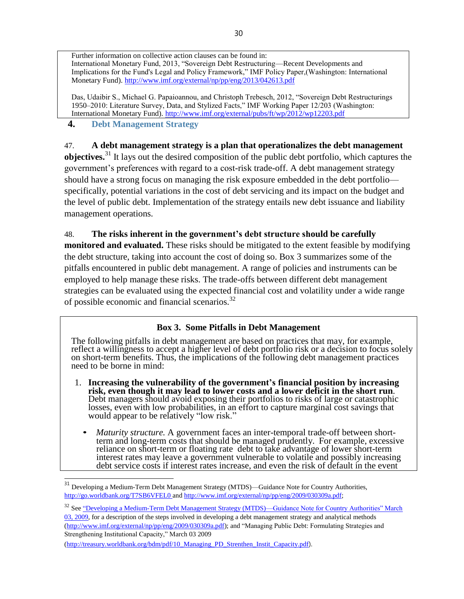Further information on collective action clauses can be found in: International Monetary Fund, 2013, "Sovereign Debt Restructuring—Recent Developments and Implications for the Fund's Legal and Policy Framework," IMF Policy Paper,(Washington: International Monetary Fund)[. http://www.imf.org/external/np/pp/eng/2013/042613.pdf](http://www.imf.org/external/np/pp/eng/2013/042613.pdf)

Das, Udaibir S., Michael G. Papaioannou, and Christoph Trebesch, 2012, "Sovereign Debt Restructurings 1950–2010: Literature Survey, Data, and Stylized Facts," IMF Working Paper 12/203 (Washington: International Monetary Fund).<http://www.imf.org/external/pubs/ft/wp/2012/wp12203.pdf>

# **4. Debt Management Strategy**

# 47. **A debt management strategy is a plan that operationalizes the debt management**

**objectives.**<sup>31</sup> It lays out the desired composition of the public debt portfolio, which captures the government's preferences with regard to a cost-risk trade-off. A debt management strategy should have a strong focus on managing the risk exposure embedded in the debt portfolio specifically, potential variations in the cost of debt servicing and its impact on the budget and the level of public debt. Implementation of the strategy entails new debt issuance and liability management operations.

#### 48. **The risks inherent in the government's debt structure should be carefully**

**monitored and evaluated.** These risks should be mitigated to the extent feasible by modifying the debt structure, taking into account the cost of doing so. Box 3 summarizes some of the pitfalls encountered in public debt management. A range of policies and instruments can be employed to help manage these risks. The trade-offs between different debt management strategies can be evaluated using the expected financial cost and volatility under a wide range of possible economic and financial scenarios.<sup>32</sup>

## **Box 3. Some Pitfalls in Debt Management**

The following pitfalls in debt management are based on practices that may, for example, reflect a willingness to accept a higher level of debt portfolio risk or a decision to focus solely on short-term benefits. Thus, the implications of the following debt management practices need to be borne in mind:

- 1. **Increasing the vulnerability of the government's financial position by increasing risk, even though it may lead to lower costs and a lower deficit in the short run**. Debt managers should avoid exposing their portfolios to risks of large or catastrophic losses, even with low probabilities, in an effort to capture marginal cost savings that would appear to be relatively "low risk."
	- *Maturity structure.* A government faces an inter-temporal trade-off between shortterm and long-term costs that should be managed prudently. For example, excessive reliance on short-term or floating rate debt to take advantage of lower short-term interest rates may leave a government vulnerable to volatile and possibly increasing debt service costs if interest rates increase, and even the risk of default in the event

<sup>32</sup> See "Developing a Medium-Term Debt Management Strategy (MTDS)—Guidance Note for Country Authorities" March

[03, 2009,](file:///C:/Users/User/AppData/Local/Microsoft/Windows/Temporary%20Internet%20Files/Local/Microsoft/Windows/saprm005/AppData/AppData/Local/Microsoft/Windows/Temporary%20Internet%20Files/Content.Outlook/SQY2NF74/Developing%20a%20Medium-Term%20Debt%20Management%20Strategy%20(MTDS)—%20Guidance%20Note%20for%20Country%20Authorities) for a description of the steps involved in developing a debt management strategy and analytical methods [\(http://www.imf.org/external/np/pp/eng/2009/030309a.pdf\)](http://www.imf.org/external/np/pp/eng/2009/030309a.pdf); and "Managing Public Debt: Formulating Strategies and Strengthening Institutional Capacity," March 03 2009

[\(http://treasury.worldbank.org/bdm/pdf/10\\_Managing\\_PD\\_Strenthen\\_Instit\\_Capacity.pdf](http://treasury.worldbank.org/bdm/pdf/10_Managing_PD_Strenthen_Instit_Capacity.pdf)).

Developing a Medium-Term Debt Management Strategy (MTDS)—Guidance Note for Country Authorities, <http://go.worldbank.org/T7SB6VFEL0> and [http://www.imf.org/external/np/pp/eng/2009/030309a.pdf;](http://www.imf.org/external/np/pp/eng/2009/030309a.pdf)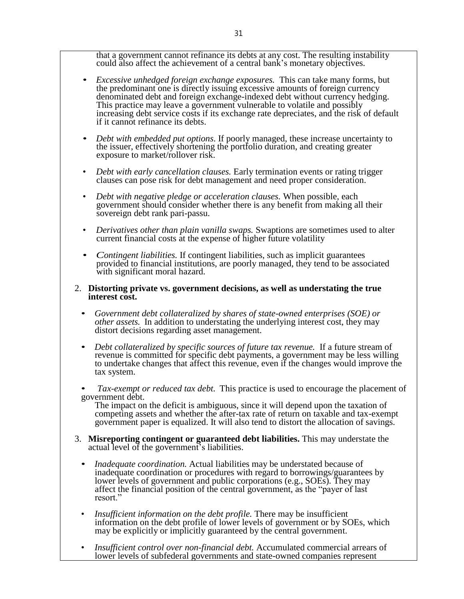that a government cannot refinance its debts at any cost. The resulting instability could also affect the achievement of a central bank's monetary objectives.

- *Excessive unhedged foreign exchange exposures.* This can take many forms, but the predominant one is directly issuing excessive amounts of foreign currency denominated debt and foreign exchange-indexed debt without currency hedging. This practice may leave a government vulnerable to volatile and possibly increasing debt service costs if its exchange rate depreciates, and the risk of default if it cannot refinance its debts.
- *Debt with embedded put options*. If poorly managed, these increase uncertainty to the issuer, effectively shortening the portfolio duration, and creating greater exposure to market/rollover risk.
- *Debt with early cancellation clauses.* Early termination events or rating trigger clauses can pose risk for debt management and need proper consideration.
- *Debt with negative pledge or acceleration clauses.* When possible, each government should consider whether there is any benefit from making all their sovereign debt rank pari-passu.
- *Derivatives other than plain vanilla swaps.* Swaptions are sometimes used to alter current financial costs at the expense of higher future volatility
- *Contingent liabilities.* If contingent liabilities, such as implicit guarantees provided to financial institutions, are poorly managed, they tend to be associated with significant moral hazard.

#### 2. **Distorting private vs. government decisions, as well as understating the true interest cost.**

- *Government debt collateralized by shares of state-owned enterprises (SOE) or other assets.* In addition to understating the underlying interest cost, they may distort decisions regarding asset management.
- *Debt collateralized by specific sources of future tax revenue.* If a future stream of revenue is committed for specific debt payments, a government may be less willing to undertake changes that affect this revenue, even if the changes would improve the tax system.
- *Tax-exempt or reduced tax debt.* This practice is used to encourage the placement of government debt.

The impact on the deficit is ambiguous, since it will depend upon the taxation of competing assets and whether the after-tax rate of return on taxable and tax-exempt government paper is equalized. It will also tend to distort the allocation of savings.

- 3. **Misreporting contingent or guaranteed debt liabilities.** This may understate the actual level of the government's liabilities.
	- *Inadequate coordination.* Actual liabilities may be understated because of inadequate coordination or procedures with regard to borrowings/guarantees by lower levels of government and public corporations (e.g., SOEs). They may affect the financial position of the central government, as the "payer of last resort."
	- *Insufficient information on the debt profile.* There may be insufficient information on the debt profile of lower levels of government or by SOEs, which may be explicitly or implicitly guaranteed by the central government.
	- *Insufficient control over non-financial debt.* Accumulated commercial arrears of lower levels of subfederal governments and state-owned companies represent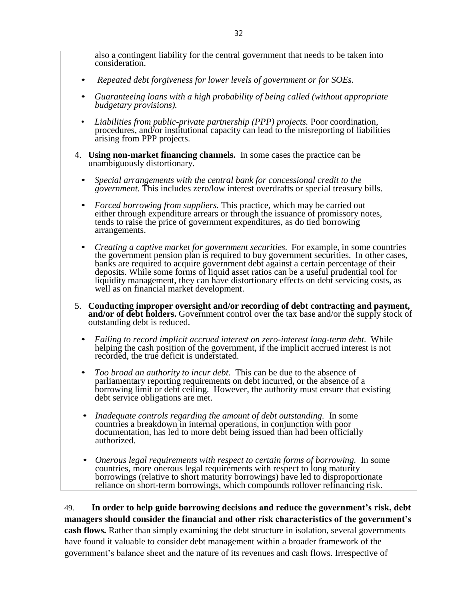also a contingent liability for the central government that needs to be taken into consideration.

- *Repeated debt forgiveness for lower levels of government or for SOEs.*
- *Guaranteeing loans with a high probability of being called (without appropriate budgetary provisions).*
- *Liabilities from public-private partnership (PPP) projects.* Poor coordination, procedures, and/or institutional capacity can lead to the misreporting of liabilities arising from PPP projects.
- 4. **Using non-market financing channels.** In some cases the practice can be unambiguously distortionary.
	- *Special arrangements with the central bank for concessional credit to the government.* This includes zero/low interest overdrafts or special treasury bills.
	- *Forced borrowing from suppliers.* This practice, which may be carried out either through expenditure arrears or through the issuance of promissory notes, tends to raise the price of government expenditures, as do tied borrowing arrangements.
	- *Creating a captive market for government securities.* For example, in some countries the government pension plan is required to buy government securities. In other cases, banks are required to acquire government debt against a certain percentage of their deposits. While some forms of liquid asset ratios can be a useful prudential tool for liquidity management, they can have distortionary effects on debt servicing costs, as well as on financial market development.
- 5. **Conducting improper oversight and/or recording of debt contracting and payment, and/or of debt holders.** Government control over the tax base and/or the supply stock of outstanding debt is reduced.
	- *Failing to record implicit accrued interest on zero-interest long-term debt.* While helping the cash position of the government, if the implicit accrued interest is not recorded, the true deficit is understated.
	- *Too broad an authority to incur debt.* This can be due to the absence of parliamentary reporting requirements on debt incurred, or the absence of a borrowing limit or debt ceiling. However, the authority must ensure that existing debt service obligations are met.
	- *Inadequate controls regarding the amount of debt outstanding.* In some countries a breakdown in internal operations, in conjunction with poor documentation, has led to more debt being issued than had been officially authorized.
	- *Onerous legal requirements with respect to certain forms of borrowing.* In some countries, more onerous legal requirements with respect to long maturity borrowings (relative to short maturity borrowings) have led to disproportionate reliance on short-term borrowings, which compounds rollover refinancing risk.

49. **In order to help guide borrowing decisions and reduce the government's risk, debt managers should consider the financial and other risk characteristics of the government's cash flows.** Rather than simply examining the debt structure in isolation, several governments have found it valuable to consider debt management within a broader framework of the government's balance sheet and the nature of its revenues and cash flows. Irrespective of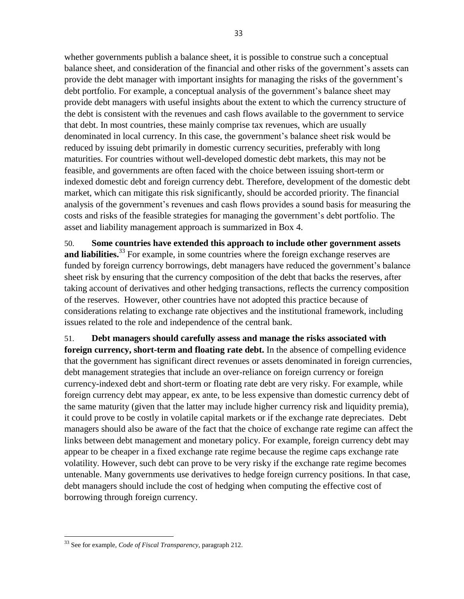whether governments publish a balance sheet, it is possible to construe such a conceptual balance sheet, and consideration of the financial and other risks of the government's assets can provide the debt manager with important insights for managing the risks of the government's debt portfolio. For example, a conceptual analysis of the government's balance sheet may provide debt managers with useful insights about the extent to which the currency structure of the debt is consistent with the revenues and cash flows available to the government to service that debt. In most countries, these mainly comprise tax revenues, which are usually denominated in local currency. In this case, the government's balance sheet risk would be reduced by issuing debt primarily in domestic currency securities, preferably with long maturities. For countries without well-developed domestic debt markets, this may not be feasible, and governments are often faced with the choice between issuing short-term or indexed domestic debt and foreign currency debt. Therefore, development of the domestic debt market, which can mitigate this risk significantly, should be accorded priority. The financial analysis of the government's revenues and cash flows provides a sound basis for measuring the costs and risks of the feasible strategies for managing the government's debt portfolio. The asset and liability management approach is summarized in Box 4.

50. **Some countries have extended this approach to include other government assets**  and liabilities.<sup>33</sup> For example, in some countries where the foreign exchange reserves are funded by foreign currency borrowings, debt managers have reduced the government's balance sheet risk by ensuring that the currency composition of the debt that backs the reserves, after taking account of derivatives and other hedging transactions, reflects the currency composition of the reserves. However, other countries have not adopted this practice because of considerations relating to exchange rate objectives and the institutional framework, including issues related to the role and independence of the central bank.

51. **Debt managers should carefully assess and manage the risks associated with foreign currency, short-term and floating rate debt.** In the absence of compelling evidence that the government has significant direct revenues or assets denominated in foreign currencies, debt management strategies that include an over-reliance on foreign currency or foreign currency-indexed debt and short-term or floating rate debt are very risky. For example, while foreign currency debt may appear, ex ante, to be less expensive than domestic currency debt of the same maturity (given that the latter may include higher currency risk and liquidity premia), it could prove to be costly in volatile capital markets or if the exchange rate depreciates. Debt managers should also be aware of the fact that the choice of exchange rate regime can affect the links between debt management and monetary policy. For example, foreign currency debt may appear to be cheaper in a fixed exchange rate regime because the regime caps exchange rate volatility. However, such debt can prove to be very risky if the exchange rate regime becomes untenable. Many governments use derivatives to hedge foreign currency positions. In that case, debt managers should include the cost of hedging when computing the effective cost of borrowing through foreign currency.

<sup>33</sup> See for example, *Code of Fiscal Transparency*, paragraph 212.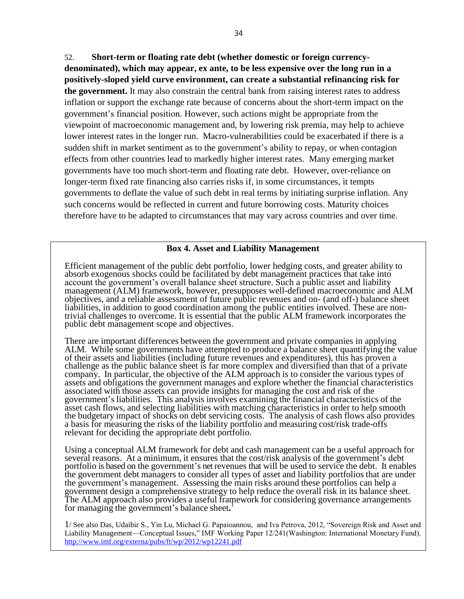52. **Short-term or floating rate debt (whether domestic or foreign currencydenominated), which may appear, ex ante, to be less expensive over the long run in a positively-sloped yield curve environment, can create a substantial refinancing risk for the government.** It may also constrain the central bank from raising interest rates to address inflation or support the exchange rate because of concerns about the short-term impact on the government's financial position. However, such actions might be appropriate from the viewpoint of macroeconomic management and, by lowering risk premia, may help to achieve lower interest rates in the longer run. Macro-vulnerabilities could be exacerbated if there is a sudden shift in market sentiment as to the government's ability to repay, or when contagion effects from other countries lead to markedly higher interest rates. Many emerging market governments have too much short-term and floating rate debt. However, over-reliance on longer-term fixed rate financing also carries risks if, in some circumstances, it tempts governments to deflate the value of such debt in real terms by initiating surprise inflation. Any such concerns would be reflected in current and future borrowing costs. Maturity choices therefore have to be adapted to circumstances that may vary across countries and over time.

#### **Box 4. Asset and Liability Management**

Efficient management of the public debt portfolio, lower hedging costs, and greater ability to absorb exogenous shocks could be facilitated by debt management practices that take into account the government's overall balance sheet structure. Such a public asset and liability management (ALM) framework, however, presupposes well-defined macroeconomic and ALM objectives, and a reliable assessment of future public revenues and on- (and off-) balance sheet liabilities, in addition to good coordination among the public entities involved. These are nontrivial challenges to overcome. It is essential that the public ALM framework incorporates the public debt management scope and objectives.

There are important differences between the government and private companies in applying ALM. While some governments have attempted to produce a balance sheet quantifying the value of their assets and liabilities (including future revenues and expenditures), this has proven a challenge as the public balance sheet is far more complex and diversified than that of a private company. In particular, the objective of the ALM approach is to consider the various types of assets and obligations the government manages and explore whether the financial characteristics associated with those assets can provide insights for managing the cost and risk of the government's liabilities. This analysis involves examining the financial characteristics of the asset cash flows, and selecting liabilities with matching characteristics in order to help smooth the budgetary impact of shocks on debt servicing costs. The analysis of cash flows also provides a basis for measuring the risks of the liability portfolio and measuring cost/risk trade-offs relevant for deciding the appropriate debt portfolio.

Using a conceptual ALM framework for debt and cash management can be a useful approach for several reasons. At a minimum, it ensures that the cost/risk analysis of the government's debt portfolio is based on the government's net revenues that will be used to service the debt. It enables the government debt managers to consider all types of asset and liability portfolios that are under the government's management. Assessing the main risks around these portfolios can help a government design a comprehensive strategy to help reduce the overall risk in its balance sheet. The ALM approach also provides a useful framework for considering governance arrangements for managing the government's balance sheet**.** 1

1/ See also Das, Udaibir S., Yin Lu, Michael G. Papaioannou, and Iva Petrova, 2012, "Sovereign Risk and Asset and Liability Management—Conceptual Issues," IMF Working Paper 12/241(Washington: International Monetary Fund). <http://www.imf.org/externa/pubs/ft/wp/2012/wp12241.pdf>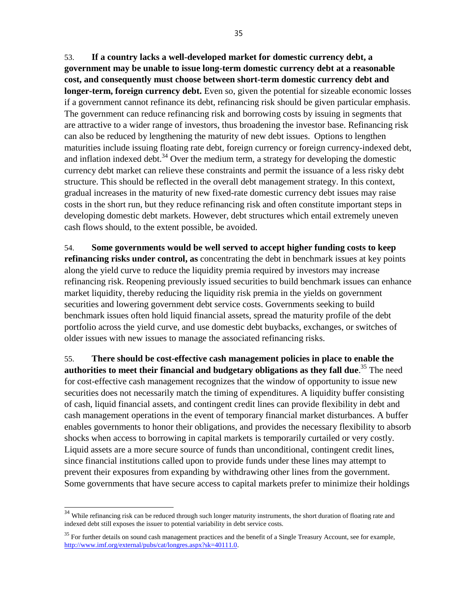53. **If a country lacks a well-developed market for domestic currency debt, a government may be unable to issue long-term domestic currency debt at a reasonable cost, and consequently must choose between short-term domestic currency debt and longer-term, foreign currency debt.** Even so, given the potential for sizeable economic losses if a government cannot refinance its debt, refinancing risk should be given particular emphasis. The government can reduce refinancing risk and borrowing costs by issuing in segments that are attractive to a wider range of investors, thus broadening the investor base. Refinancing risk can also be reduced by lengthening the maturity of new debt issues. Options to lengthen maturities include issuing floating rate debt, foreign currency or foreign currency-indexed debt, and inflation indexed debt. $34$  Over the medium term, a strategy for developing the domestic currency debt market can relieve these constraints and permit the issuance of a less risky debt structure. This should be reflected in the overall debt management strategy. In this context, gradual increases in the maturity of new fixed-rate domestic currency debt issues may raise costs in the short run, but they reduce refinancing risk and often constitute important steps in developing domestic debt markets. However, debt structures which entail extremely uneven cash flows should, to the extent possible, be avoided.

54. **Some governments would be well served to accept higher funding costs to keep refinancing risks under control, as** concentrating the debt in benchmark issues at key points along the yield curve to reduce the liquidity premia required by investors may increase refinancing risk. Reopening previously issued securities to build benchmark issues can enhance market liquidity, thereby reducing the liquidity risk premia in the yields on government securities and lowering government debt service costs. Governments seeking to build benchmark issues often hold liquid financial assets, spread the maturity profile of the debt portfolio across the yield curve, and use domestic debt buybacks, exchanges, or switches of older issues with new issues to manage the associated refinancing risks.

55. **There should be cost-effective cash management policies in place to enable the authorities to meet their financial and budgetary obligations as they fall due**. <sup>35</sup> The need for cost-effective cash management recognizes that the window of opportunity to issue new securities does not necessarily match the timing of expenditures. A liquidity buffer consisting of cash, liquid financial assets, and contingent credit lines can provide flexibility in debt and cash management operations in the event of temporary financial market disturbances. A buffer enables governments to honor their obligations, and provides the necessary flexibility to absorb shocks when access to borrowing in capital markets is temporarily curtailed or very costly. Liquid assets are a more secure source of funds than unconditional, contingent credit lines, since financial institutions called upon to provide funds under these lines may attempt to prevent their exposures from expanding by withdrawing other lines from the government. Some governments that have secure access to capital markets prefer to minimize their holdings

 $34$  While refinancing risk can be reduced through such longer maturity instruments, the short duration of floating rate and indexed debt still exposes the issuer to potential variability in debt service costs.

<sup>&</sup>lt;sup>35</sup> For further details on sound cash management practices and the benefit of a Single Treasury Account, see for example, [http://www.imf.org/external/pubs/cat/longres.aspx?sk=40111.0.](http://www.imf.org/external/pubs/cat/longres.aspx?sk=40111.0)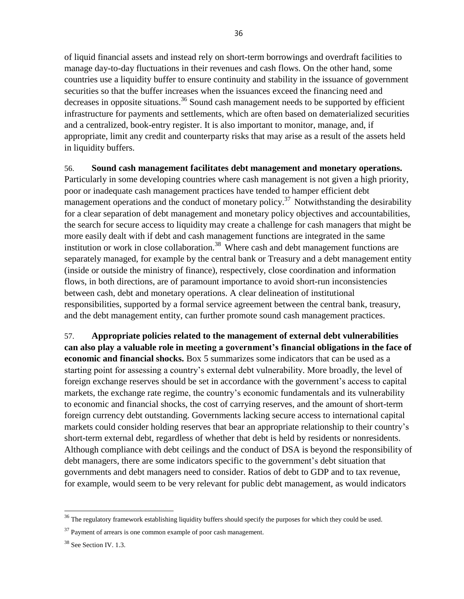of liquid financial assets and instead rely on short-term borrowings and overdraft facilities to manage day-to-day fluctuations in their revenues and cash flows. On the other hand, some countries use a liquidity buffer to ensure continuity and stability in the issuance of government securities so that the buffer increases when the issuances exceed the financing need and decreases in opposite situations.<sup>36</sup> Sound cash management needs to be supported by efficient infrastructure for payments and settlements, which are often based on dematerialized securities and a centralized, book-entry register. It is also important to monitor, manage, and, if appropriate, limit any credit and counterparty risks that may arise as a result of the assets held in liquidity buffers.

#### 56. **Sound cash management facilitates debt management and monetary operations.**

Particularly in some developing countries where cash management is not given a high priority, poor or inadequate cash management practices have tended to hamper efficient debt management operations and the conduct of monetary policy.<sup>37</sup> Notwithstanding the desirability for a clear separation of debt management and monetary policy objectives and accountabilities, the search for secure access to liquidity may create a challenge for cash managers that might be more easily dealt with if debt and cash management functions are integrated in the same institution or work in close collaboration.<sup>38</sup> Where cash and debt management functions are separately managed, for example by the central bank or Treasury and a debt management entity (inside or outside the ministry of finance), respectively, close coordination and information flows, in both directions, are of paramount importance to avoid short-run inconsistencies between cash, debt and monetary operations. A clear delineation of institutional responsibilities, supported by a formal service agreement between the central bank, treasury, and the debt management entity, can further promote sound cash management practices.

57. **Appropriate policies related to the management of external debt vulnerabilities can also play a valuable role in meeting a government's financial obligations in the face of economic and financial shocks.** Box 5 summarizes some indicators that can be used as a starting point for assessing a country's external debt vulnerability. More broadly, the level of foreign exchange reserves should be set in accordance with the government's access to capital markets, the exchange rate regime, the country's economic fundamentals and its vulnerability to economic and financial shocks, the cost of carrying reserves, and the amount of short-term foreign currency debt outstanding. Governments lacking secure access to international capital markets could consider holding reserves that bear an appropriate relationship to their country's short-term external debt, regardless of whether that debt is held by residents or nonresidents. Although compliance with debt ceilings and the conduct of DSA is beyond the responsibility of debt managers, there are some indicators specific to the government's debt situation that governments and debt managers need to consider. Ratios of debt to GDP and to tax revenue, for example, would seem to be very relevant for public debt management, as would indicators

<sup>&</sup>lt;sup>36</sup> The regulatory framework establishing liquidity buffers should specify the purposes for which they could be used.

 $37$  Payment of arrears is one common example of poor cash management.

<sup>&</sup>lt;sup>38</sup> See Section IV. 1.3.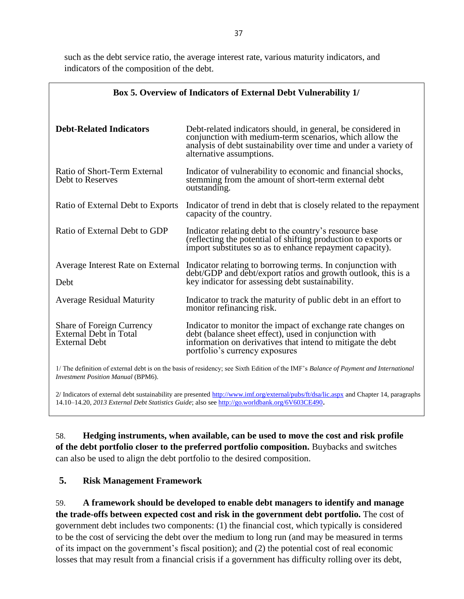such as the debt service ratio, the average interest rate, various maturity indicators, and indicators of the composition of the debt.

| Box 5. Overview of Indicators of External Debt Vulnerability 1/             |                                                                                                                                                                                                                         |  |
|-----------------------------------------------------------------------------|-------------------------------------------------------------------------------------------------------------------------------------------------------------------------------------------------------------------------|--|
| <b>Debt-Related Indicators</b>                                              | Debt-related indicators should, in general, be considered in<br>conjunction with medium-term scenarios, which allow the<br>analysis of debt sustainability over time and under a variety of<br>alternative assumptions. |  |
| Ratio of Short-Term External<br>Debt to Reserves                            | Indicator of vulnerability to economic and financial shocks,<br>stemming from the amount of short-term external debt<br>outstanding.                                                                                    |  |
| Ratio of External Debt to Exports                                           | Indicator of trend in debt that is closely related to the repayment<br>capacity of the country.                                                                                                                         |  |
| Ratio of External Debt to GDP                                               | Indicator relating debt to the country's resource base<br>(reflecting the potential of shifting production to exports or<br>import substitutes so as to enhance repayment capacity).                                    |  |
| Debt                                                                        | Average Interest Rate on External Indicator relating to borrowing terms. In conjunction with<br>debt/GDP and debt/export ratios and growth outlook, this is a<br>key indicator for assessing debt sustainability.       |  |
| <b>Average Residual Maturity</b>                                            | Indicator to track the maturity of public debt in an effort to<br>monitor refinancing risk.                                                                                                                             |  |
| Share of Foreign Currency<br>External Debt in Total<br><b>External Debt</b> | Indicator to monitor the impact of exchange rate changes on<br>debt (balance sheet effect), used in conjunction with<br>information on derivatives that intend to mitigate the debt<br>portfolio's currency exposures   |  |

1/ The definition of external debt is on the basis of residency; see Sixth Edition of the IMF's *Balance of Payment and International Investment Position Manual* (BPM6).

2/ Indicators of external debt sustainability are presented<http://www.imf.org/external/pubs/ft/dsa/lic.aspx> and Chapter 14, paragraphs 14.10–14.20, *2013 External Debt Statistics Guide*; also se[e http://go.worldbank.org/6V603CE490](http://go.worldbank.org/6V603CE490).

58. **Hedging instruments, when available, can be used to move the cost and risk profile of the debt portfolio closer to the preferred portfolio composition.** Buybacks and switches can also be used to align the debt portfolio to the desired composition.

## **5. Risk Management Framework**

59. **A framework should be developed to enable debt managers to identify and manage the trade-offs between expected cost and risk in the government debt portfolio.** The cost of government debt includes two components: (1) the financial cost, which typically is considered to be the cost of servicing the debt over the medium to long run (and may be measured in terms of its impact on the government's fiscal position); and (2) the potential cost of real economic losses that may result from a financial crisis if a government has difficulty rolling over its debt,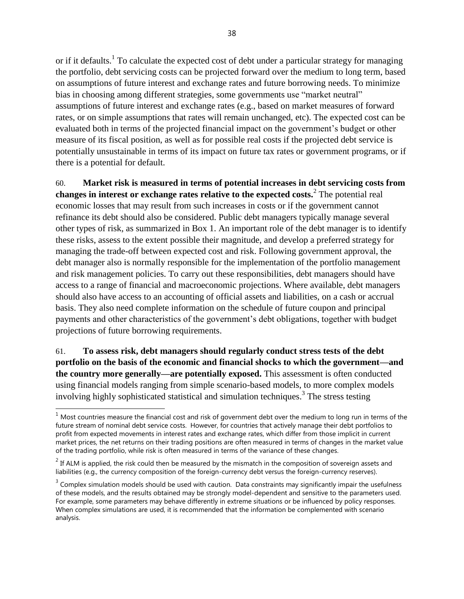or if it defaults.<sup>1</sup> To calculate the expected cost of debt under a particular strategy for managing the portfolio, debt servicing costs can be projected forward over the medium to long term, based on assumptions of future interest and exchange rates and future borrowing needs. To minimize bias in choosing among different strategies, some governments use "market neutral" assumptions of future interest and exchange rates (e.g., based on market measures of forward rates, or on simple assumptions that rates will remain unchanged, etc). The expected cost can be evaluated both in terms of the projected financial impact on the government's budget or other measure of its fiscal position, as well as for possible real costs if the projected debt service is potentially unsustainable in terms of its impact on future tax rates or government programs, or if there is a potential for default.

60. **Market risk is measured in terms of potential increases in debt servicing costs from changes in interest or exchange rates relative to the expected costs.**<sup>2</sup> The potential real economic losses that may result from such increases in costs or if the government cannot refinance its debt should also be considered. Public debt managers typically manage several other types of risk, as summarized in Box 1. An important role of the debt manager is to identify these risks, assess to the extent possible their magnitude, and develop a preferred strategy for managing the trade-off between expected cost and risk. Following government approval, the debt manager also is normally responsible for the implementation of the portfolio management and risk management policies. To carry out these responsibilities, debt managers should have access to a range of financial and macroeconomic projections. Where available, debt managers should also have access to an accounting of official assets and liabilities, on a cash or accrual basis. They also need complete information on the schedule of future coupon and principal payments and other characteristics of the government's debt obligations, together with budget projections of future borrowing requirements.

61. **To assess risk, debt managers should regularly conduct stress tests of the debt portfolio on the basis of the economic and financial shocks to which the government—and the country more generally—are potentially exposed.** This assessment is often conducted using financial models ranging from simple scenario-based models, to more complex models involving highly sophisticated statistical and simulation techniques.<sup>3</sup> The stress testing

 $1$  Most countries measure the financial cost and risk of government debt over the medium to long run in terms of the future stream of nominal debt service costs. However, for countries that actively manage their debt portfolios to profit from expected movements in interest rates and exchange rates, which differ from those implicit in current market prices, the net returns on their trading positions are often measured in terms of changes in the market value of the trading portfolio, while risk is often measured in terms of the variance of these changes.

 $2^{2}$  If ALM is applied, the risk could then be measured by the mismatch in the composition of sovereign assets and liabilities (e.g., the currency composition of the foreign-currency debt versus the foreign-currency reserves).

 $3$  Complex simulation models should be used with caution. Data constraints may significantly impair the usefulness of these models, and the results obtained may be strongly model-dependent and sensitive to the parameters used. For example, some parameters may behave differently in extreme situations or be influenced by policy responses. When complex simulations are used, it is recommended that the information be complemented with scenario analysis.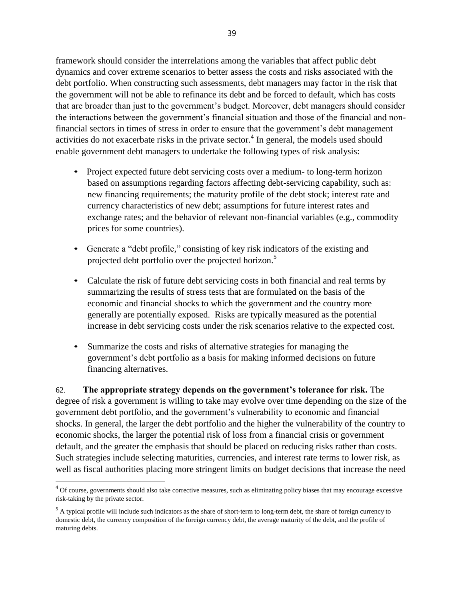framework should consider the interrelations among the variables that affect public debt dynamics and cover extreme scenarios to better assess the costs and risks associated with the debt portfolio. When constructing such assessments, debt managers may factor in the risk that the government will not be able to refinance its debt and be forced to default, which has costs that are broader than just to the government's budget. Moreover, debt managers should consider the interactions between the government's financial situation and those of the financial and nonfinancial sectors in times of stress in order to ensure that the government's debt management activities do not exacerbate risks in the private sector. $4$  In general, the models used should enable government debt managers to undertake the following types of risk analysis:

- Project expected future debt servicing costs over a medium- to long-term horizon based on assumptions regarding factors affecting debt-servicing capability, such as: new financing requirements; the maturity profile of the debt stock; interest rate and currency characteristics of new debt; assumptions for future interest rates and exchange rates; and the behavior of relevant non-financial variables (e.g., commodity prices for some countries).
- Generate a "debt profile," consisting of key risk indicators of the existing and projected debt portfolio over the projected horizon.<sup>5</sup>
- Calculate the risk of future debt servicing costs in both financial and real terms by summarizing the results of stress tests that are formulated on the basis of the economic and financial shocks to which the government and the country more generally are potentially exposed. Risks are typically measured as the potential increase in debt servicing costs under the risk scenarios relative to the expected cost.
- Summarize the costs and risks of alternative strategies for managing the government's debt portfolio as a basis for making informed decisions on future financing alternatives.

62. **The appropriate strategy depends on the government's tolerance for risk.** The degree of risk a government is willing to take may evolve over time depending on the size of the government debt portfolio, and the government's vulnerability to economic and financial shocks. In general, the larger the debt portfolio and the higher the vulnerability of the country to economic shocks, the larger the potential risk of loss from a financial crisis or government default, and the greater the emphasis that should be placed on reducing risks rather than costs. Such strategies include selecting maturities, currencies, and interest rate terms to lower risk, as well as fiscal authorities placing more stringent limits on budget decisions that increase the need

<sup>&</sup>lt;sup>4</sup> Of course, governments should also take corrective measures, such as eliminating policy biases that may encourage excessive risk-taking by the private sector.

 $<sup>5</sup>$  A typical profile will include such indicators as the share of short-term to long-term debt, the share of foreign currency to</sup> domestic debt, the currency composition of the foreign currency debt, the average maturity of the debt, and the profile of maturing debts.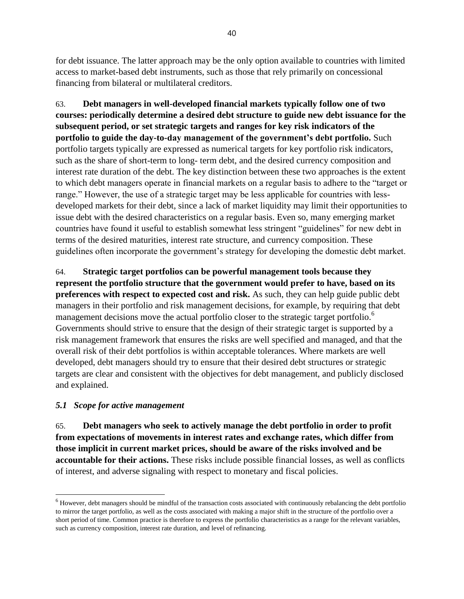for debt issuance. The latter approach may be the only option available to countries with limited access to market-based debt instruments, such as those that rely primarily on concessional financing from bilateral or multilateral creditors.

63. **Debt managers in well-developed financial markets typically follow one of two courses: periodically determine a desired debt structure to guide new debt issuance for the subsequent period, or set strategic targets and ranges for key risk indicators of the portfolio to guide the day-to-day management of the government's debt portfolio.** Such portfolio targets typically are expressed as numerical targets for key portfolio risk indicators, such as the share of short-term to long- term debt, and the desired currency composition and interest rate duration of the debt. The key distinction between these two approaches is the extent to which debt managers operate in financial markets on a regular basis to adhere to the "target or range." However, the use of a strategic target may be less applicable for countries with lessdeveloped markets for their debt, since a lack of market liquidity may limit their opportunities to issue debt with the desired characteristics on a regular basis. Even so, many emerging market countries have found it useful to establish somewhat less stringent "guidelines" for new debt in terms of the desired maturities, interest rate structure, and currency composition. These guidelines often incorporate the government's strategy for developing the domestic debt market.

64. **Strategic target portfolios can be powerful management tools because they represent the portfolio structure that the government would prefer to have, based on its preferences with respect to expected cost and risk.** As such, they can help guide public debt managers in their portfolio and risk management decisions, for example, by requiring that debt management decisions move the actual portfolio closer to the strategic target portfolio.<sup>6</sup> Governments should strive to ensure that the design of their strategic target is supported by a risk management framework that ensures the risks are well specified and managed, and that the overall risk of their debt portfolios is within acceptable tolerances. Where markets are well developed, debt managers should try to ensure that their desired debt structures or strategic targets are clear and consistent with the objectives for debt management, and publicly disclosed and explained.

## *5.1 Scope for active management*

 $\overline{a}$ 

65. **Debt managers who seek to actively manage the debt portfolio in order to profit from expectations of movements in interest rates and exchange rates, which differ from those implicit in current market prices, should be aware of the risks involved and be accountable for their actions.** These risks include possible financial losses, as well as conflicts of interest, and adverse signaling with respect to monetary and fiscal policies.

 $<sup>6</sup>$  However, debt managers should be mindful of the transaction costs associated with continuously rebalancing the debt portfolio</sup> to mirror the target portfolio, as well as the costs associated with making a major shift in the structure of the portfolio over a short period of time. Common practice is therefore to express the portfolio characteristics as a range for the relevant variables, such as currency composition, interest rate duration, and level of refinancing.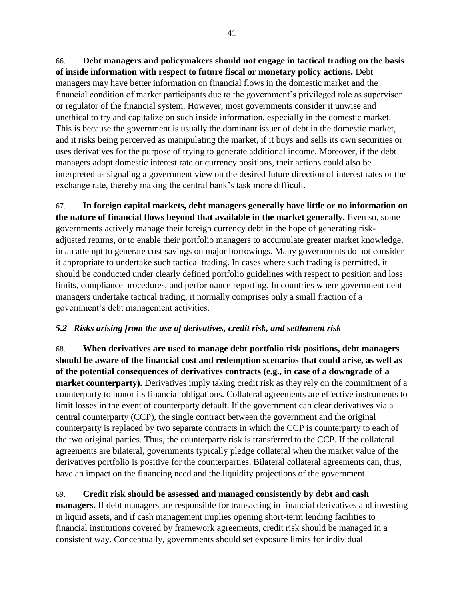66. **Debt managers and policymakers should not engage in tactical trading on the basis of inside information with respect to future fiscal or monetary policy actions.** Debt managers may have better information on financial flows in the domestic market and the financial condition of market participants due to the government's privileged role as supervisor or regulator of the financial system. However, most governments consider it unwise and unethical to try and capitalize on such inside information, especially in the domestic market. This is because the government is usually the dominant issuer of debt in the domestic market, and it risks being perceived as manipulating the market, if it buys and sells its own securities or uses derivatives for the purpose of trying to generate additional income. Moreover, if the debt managers adopt domestic interest rate or currency positions, their actions could also be interpreted as signaling a government view on the desired future direction of interest rates or the exchange rate, thereby making the central bank's task more difficult.

67. **In foreign capital markets, debt managers generally have little or no information on the nature of financial flows beyond that available in the market generally.** Even so, some governments actively manage their foreign currency debt in the hope of generating riskadjusted returns, or to enable their portfolio managers to accumulate greater market knowledge, in an attempt to generate cost savings on major borrowings. Many governments do not consider it appropriate to undertake such tactical trading. In cases where such trading is permitted, it should be conducted under clearly defined portfolio guidelines with respect to position and loss limits, compliance procedures, and performance reporting. In countries where government debt managers undertake tactical trading, it normally comprises only a small fraction of a government's debt management activities.

## *5.2 Risks arising from the use of derivatives, credit risk, and settlement risk*

68. **When derivatives are used to manage debt portfolio risk positions, debt managers should be aware of the financial cost and redemption scenarios that could arise, as well as of the potential consequences of derivatives contracts (e.g., in case of a downgrade of a market counterparty).** Derivatives imply taking credit risk as they rely on the commitment of a counterparty to honor its financial obligations. Collateral agreements are effective instruments to limit losses in the event of counterparty default. If the government can clear derivatives via a central counterparty (CCP), the single contract between the government and the original counterparty is replaced by two separate contracts in which the CCP is counterparty to each of the two original parties. Thus, the counterparty risk is transferred to the CCP. If the collateral agreements are bilateral, governments typically pledge collateral when the market value of the derivatives portfolio is positive for the counterparties. Bilateral collateral agreements can, thus, have an impact on the financing need and the liquidity projections of the government.

## 69. **Credit risk should be assessed and managed consistently by debt and cash**

**managers.** If debt managers are responsible for transacting in financial derivatives and investing in liquid assets, and if cash management implies opening short-term lending facilities to financial institutions covered by framework agreements, credit risk should be managed in a consistent way. Conceptually, governments should set exposure limits for individual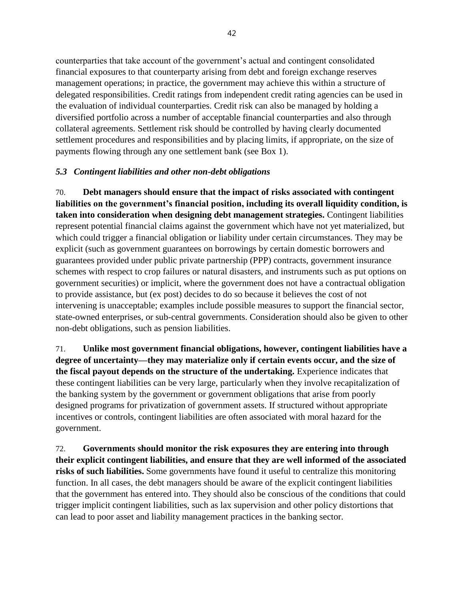counterparties that take account of the government's actual and contingent consolidated financial exposures to that counterparty arising from debt and foreign exchange reserves management operations; in practice, the government may achieve this within a structure of delegated responsibilities. Credit ratings from independent credit rating agencies can be used in the evaluation of individual counterparties. Credit risk can also be managed by holding a diversified portfolio across a number of acceptable financial counterparties and also through collateral agreements. Settlement risk should be controlled by having clearly documented settlement procedures and responsibilities and by placing limits, if appropriate, on the size of payments flowing through any one settlement bank (see Box 1).

#### *5.3 Contingent liabilities and other non-debt obligations*

70. **Debt managers should ensure that the impact of risks associated with contingent liabilities on the government's financial position, including its overall liquidity condition, is taken into consideration when designing debt management strategies.** Contingent liabilities represent potential financial claims against the government which have not yet materialized, but which could trigger a financial obligation or liability under certain circumstances. They may be explicit (such as government guarantees on borrowings by certain domestic borrowers and guarantees provided under public private partnership (PPP) contracts, government insurance schemes with respect to crop failures or natural disasters, and instruments such as put options on government securities) or implicit, where the government does not have a contractual obligation to provide assistance, but (ex post) decides to do so because it believes the cost of not intervening is unacceptable; examples include possible measures to support the financial sector, state-owned enterprises, or sub-central governments. Consideration should also be given to other non-debt obligations, such as pension liabilities.

71. **Unlike most government financial obligations, however, contingent liabilities have a degree of uncertainty—they may materialize only if certain events occur, and the size of the fiscal payout depends on the structure of the undertaking.** Experience indicates that these contingent liabilities can be very large, particularly when they involve recapitalization of the banking system by the government or government obligations that arise from poorly designed programs for privatization of government assets. If structured without appropriate incentives or controls, contingent liabilities are often associated with moral hazard for the government.

72. **Governments should monitor the risk exposures they are entering into through their explicit contingent liabilities, and ensure that they are well informed of the associated risks of such liabilities.** Some governments have found it useful to centralize this monitoring function. In all cases, the debt managers should be aware of the explicit contingent liabilities that the government has entered into. They should also be conscious of the conditions that could trigger implicit contingent liabilities, such as lax supervision and other policy distortions that can lead to poor asset and liability management practices in the banking sector.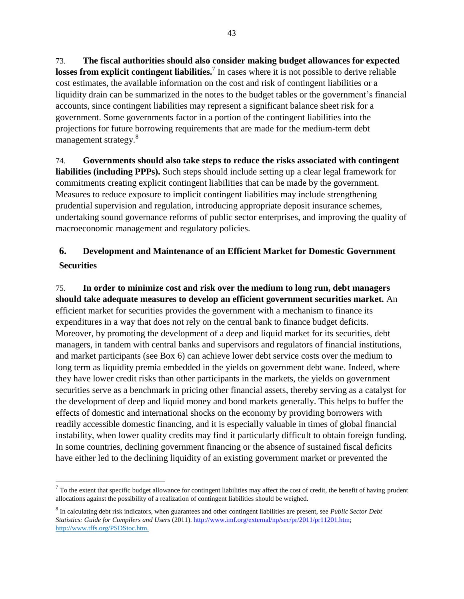73. **The fiscal authorities should also consider making budget allowances for expected losses from explicit contingent liabilities.**<sup>7</sup> In cases where it is not possible to derive reliable cost estimates, the available information on the cost and risk of contingent liabilities or a liquidity drain can be summarized in the notes to the budget tables or the government's financial accounts, since contingent liabilities may represent a significant balance sheet risk for a government. Some governments factor in a portion of the contingent liabilities into the projections for future borrowing requirements that are made for the medium-term debt management strategy.<sup>8</sup>

74. **Governments should also take steps to reduce the risks associated with contingent liabilities (including PPPs).** Such steps should include setting up a clear legal framework for commitments creating explicit contingent liabilities that can be made by the government. Measures to reduce exposure to implicit contingent liabilities may include strengthening prudential supervision and regulation, introducing appropriate deposit insurance schemes, undertaking sound governance reforms of public sector enterprises, and improving the quality of macroeconomic management and regulatory policies.

# **6. Development and Maintenance of an Efficient Market for Domestic Government Securities**

75. **In order to minimize cost and risk over the medium to long run, debt managers should take adequate measures to develop an efficient government securities market.** An efficient market for securities provides the government with a mechanism to finance its expenditures in a way that does not rely on the central bank to finance budget deficits. Moreover, by promoting the development of a deep and liquid market for its securities, debt managers, in tandem with central banks and supervisors and regulators of financial institutions, and market participants (see Box 6) can achieve lower debt service costs over the medium to long term as liquidity premia embedded in the yields on government debt wane. Indeed, where they have lower credit risks than other participants in the markets, the yields on government securities serve as a benchmark in pricing other financial assets, thereby serving as a catalyst for the development of deep and liquid money and bond markets generally. This helps to buffer the effects of domestic and international shocks on the economy by providing borrowers with readily accessible domestic financing, and it is especially valuable in times of global financial instability, when lower quality credits may find it particularly difficult to obtain foreign funding. In some countries, declining government financing or the absence of sustained fiscal deficits have either led to the declining liquidity of an existing government market or prevented the

 $<sup>7</sup>$  To the extent that specific budget allowance for contingent liabilities may affect the cost of credit, the benefit of having prudent</sup> allocations against the possibility of a realization of contingent liabilities should be weighed.

<sup>8</sup> In calculating debt risk indicators, when guarantees and other contingent liabilities are present, see *Public Sector Debt Statistics: Guide for Compilers and Users* (2011)[. http://www.imf.org/external/np/sec/pr/2011/pr11201.htm;](http://www.imf.org/external/np/sec/pr/2011/pr11201.htm) http://www.tffs.org/PSDStoc.htm.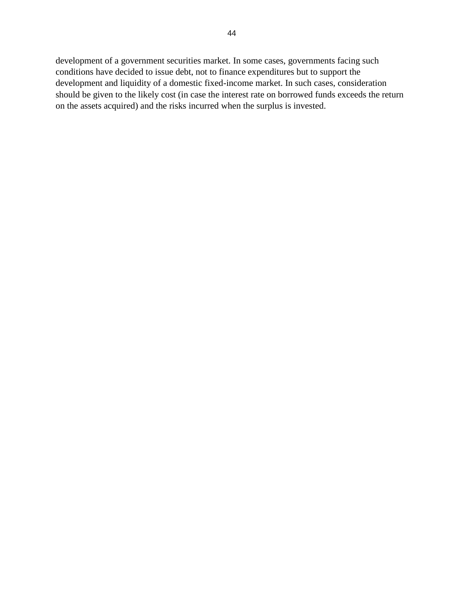development of a government securities market. In some cases, governments facing such conditions have decided to issue debt, not to finance expenditures but to support the development and liquidity of a domestic fixed-income market. In such cases, consideration should be given to the likely cost (in case the interest rate on borrowed funds exceeds the return on the assets acquired) and the risks incurred when the surplus is invested.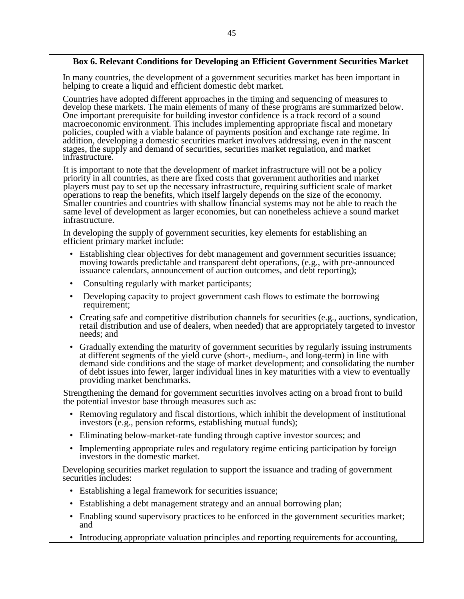#### **Box 6. Relevant Conditions for Developing an Efficient Government Securities Market**

In many countries, the development of a government securities market has been important in helping to create a liquid and efficient domestic debt market.

Countries have adopted different approaches in the timing and sequencing of measures to develop these markets. The main elements of many of these programs are summarized below. One important prerequisite for building investor confidence is a track record of a sound macroeconomic environment. This includes implementing appropriate fiscal and monetary policies, coupled with a viable balance of payments position and exchange rate regime. In addition, developing a domestic securities market involves addressing, even in the nascent stages, the supply and demand of securities, securities market regulation, and market infrastructure.

It is important to note that the development of market infrastructure will not be a policy priority in all countries, as there are fixed costs that government authorities and market players must pay to set up the necessary infrastructure, requiring sufficient scale of market operations to reap the benefits, which itself largely depends on the size of the economy. Smaller countries and countries with shallow financial systems may not be able to reach the same level of development as larger economies, but can nonetheless achieve a sound market infrastructure.

In developing the supply of government securities, key elements for establishing an efficient primary market include:

- Establishing clear objectives for debt management and government securities issuance; moving towards predictable and transparent debt operations, (e.g., with pre-announced issuance calendars, announcement of auction outcomes, and debt reporting);
- Consulting regularly with market participants;
- Developing capacity to project government cash flows to estimate the borrowing requirement;
- Creating safe and competitive distribution channels for securities (e.g., auctions, syndication, retail distribution and use of dealers, when needed) that are appropriately targeted to investor needs; and
- Gradually extending the maturity of government securities by regularly issuing instruments at different segments of the yield curve (short-, medium-, and long-term) in line with demand side conditions and the stage of market development; and consolidating the number of debt issues into fewer, larger individual lines in key maturities with a view to eventually providing market benchmarks.

Strengthening the demand for government securities involves acting on a broad front to build the potential investor base through measures such as:

- Removing regulatory and fiscal distortions, which inhibit the development of institutional investors (e.g., pension reforms, establishing mutual funds);
- Eliminating below-market-rate funding through captive investor sources; and
- Implementing appropriate rules and regulatory regime enticing participation by foreign investors in the domestic market.

Developing securities market regulation to support the issuance and trading of government securities includes:

- Establishing a legal framework for securities issuance;
- Establishing a debt management strategy and an annual borrowing plan;
- Enabling sound supervisory practices to be enforced in the government securities market; and
- Introducing appropriate valuation principles and reporting requirements for accounting,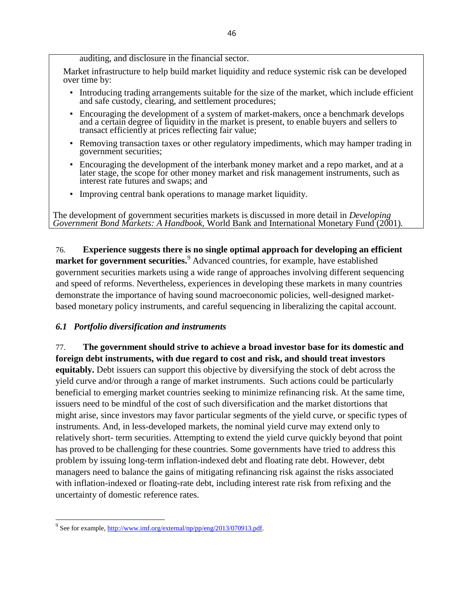#### auditing, and disclosure in the financial sector.

Market infrastructure to help build market liquidity and reduce systemic risk can be developed over time by:

- Introducing trading arrangements suitable for the size of the market, which include efficient and safe custody, clearing, and settlement procedures;
- Encouraging the development of a system of market-makers, once a benchmark develops and a certain degree of liquidity in the market is present, to enable buyers and sellers to transact efficiently at prices reflecting fair value;
- Removing transaction taxes or other regulatory impediments, which may hamper trading in government securities;
- Encouraging the development of the interbank money market and a repo market, and at a later stage, the scope for other money market and risk management instruments, such as interest rate futures and swaps; and
- Improving central bank operations to manage market liquidity.

The development of government securities markets is discussed in more detail in *Developing Government Bond Markets: A Handbook,* World Bank and International Monetary Fund (2001)*.*

76. **Experience suggests there is no single optimal approach for developing an efficient market for government securities.**<sup>9</sup> Advanced countries, for example, have established government securities markets using a wide range of approaches involving different sequencing and speed of reforms. Nevertheless, experiences in developing these markets in many countries demonstrate the importance of having sound macroeconomic policies, well-designed marketbased monetary policy instruments, and careful sequencing in liberalizing the capital account.

#### *6.1 Portfolio diversification and instruments*

77. **The government should strive to achieve a broad investor base for its domestic and foreign debt instruments, with due regard to cost and risk, and should treat investors**

**equitably.** Debt issuers can support this objective by diversifying the stock of debt across the yield curve and/or through a range of market instruments. Such actions could be particularly beneficial to emerging market countries seeking to minimize refinancing risk. At the same time, issuers need to be mindful of the cost of such diversification and the market distortions that might arise, since investors may favor particular segments of the yield curve, or specific types of instruments. And, in less-developed markets, the nominal yield curve may extend only to relatively short- term securities. Attempting to extend the yield curve quickly beyond that point has proved to be challenging for these countries. Some governments have tried to address this problem by issuing long-term inflation-indexed debt and floating rate debt. However, debt managers need to balance the gains of mitigating refinancing risk against the risks associated with inflation-indexed or floating-rate debt, including interest rate risk from refixing and the uncertainty of domestic reference rates.

<sup>&</sup>lt;sup>9</sup> See for example, [http://www.imf.org/external/np/pp/eng/2013/070913.pdf.](http://www.imf.org/external/np/pp/eng/2013/070913.pdf)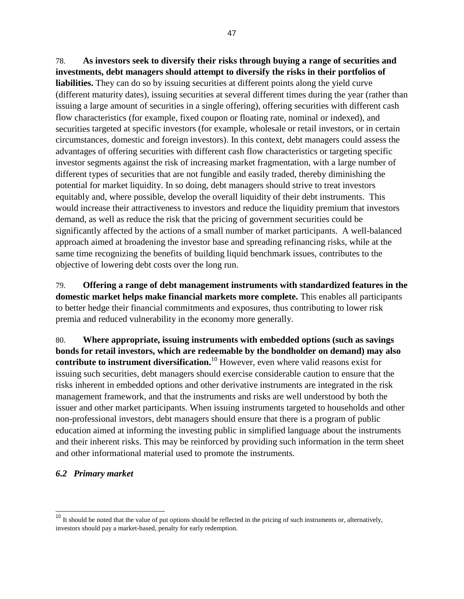78. **As investors seek to diversify their risks through buying a range of securities and investments, debt managers should attempt to diversify the risks in their portfolios of liabilities.** They can do so by issuing securities at different points along the yield curve (different maturity dates), issuing securities at several different times during the year (rather than issuing a large amount of securities in a single offering), offering securities with different cash flow characteristics (for example, fixed coupon or floating rate, nominal or indexed), and securities targeted at specific investors (for example, wholesale or retail investors, or in certain circumstances, domestic and foreign investors). In this context, debt managers could assess the advantages of offering securities with different cash flow characteristics or targeting specific investor segments against the risk of increasing market fragmentation, with a large number of different types of securities that are not fungible and easily traded, thereby diminishing the potential for market liquidity. In so doing, debt managers should strive to treat investors equitably and, where possible, develop the overall liquidity of their debt instruments. This would increase their attractiveness to investors and reduce the liquidity premium that investors demand, as well as reduce the risk that the pricing of government securities could be significantly affected by the actions of a small number of market participants. A well-balanced approach aimed at broadening the investor base and spreading refinancing risks, while at the same time recognizing the benefits of building liquid benchmark issues, contributes to the objective of lowering debt costs over the long run.

79. **Offering a range of debt management instruments with standardized features in the domestic market helps make financial markets more complete.** This enables all participants to better hedge their financial commitments and exposures, thus contributing to lower risk premia and reduced vulnerability in the economy more generally.

80. **Where appropriate, issuing instruments with embedded options (such as savings bonds for retail investors, which are redeemable by the bondholder on demand) may also contribute to instrument diversification.**<sup>10</sup> However, even where valid reasons exist for issuing such securities, debt managers should exercise considerable caution to ensure that the risks inherent in embedded options and other derivative instruments are integrated in the risk management framework, and that the instruments and risks are well understood by both the issuer and other market participants. When issuing instruments targeted to households and other non-professional investors, debt managers should ensure that there is a program of public education aimed at informing the investing public in simplified language about the instruments and their inherent risks. This may be reinforced by providing such information in the term sheet and other informational material used to promote the instruments.

#### *6.2 Primary market*

 $10$  It should be noted that the value of put options should be reflected in the pricing of such instruments or, alternatively, investors should pay a market-based, penalty for early redemption.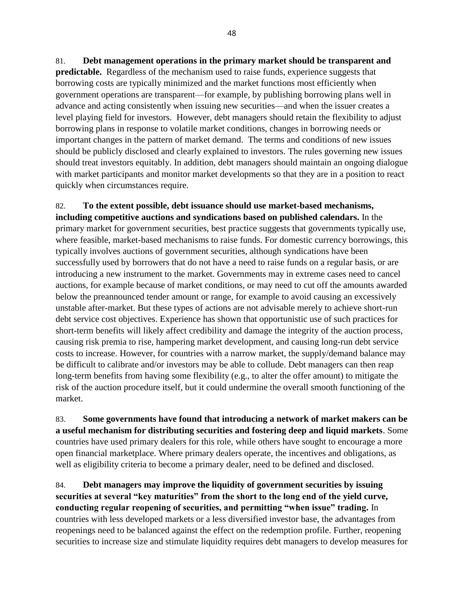81. **Debt management operations in the primary market should be transparent and predictable.** Regardless of the mechanism used to raise funds, experience suggests that borrowing costs are typically minimized and the market functions most efficiently when

government operations are transparent—for example, by publishing borrowing plans well in advance and acting consistently when issuing new securities—and when the issuer creates a level playing field for investors. However, debt managers should retain the flexibility to adjust borrowing plans in response to volatile market conditions, changes in borrowing needs or important changes in the pattern of market demand. The terms and conditions of new issues should be publicly disclosed and clearly explained to investors. The rules governing new issues should treat investors equitably. In addition, debt managers should maintain an ongoing dialogue with market participants and monitor market developments so that they are in a position to react quickly when circumstances require.

82. **To the extent possible, debt issuance should use market-based mechanisms, including competitive auctions and syndications based on published calendars.** In the primary market for government securities, best practice suggests that governments typically use, where feasible, market-based mechanisms to raise funds. For domestic currency borrowings, this typically involves auctions of government securities, although syndications have been successfully used by borrowers that do not have a need to raise funds on a regular basis, or are introducing a new instrument to the market. Governments may in extreme cases need to cancel auctions, for example because of market conditions, or may need to cut off the amounts awarded below the preannounced tender amount or range, for example to avoid causing an excessively unstable after-market. But these types of actions are not advisable merely to achieve short-run debt service cost objectives. Experience has shown that opportunistic use of such practices for short-term benefits will likely affect credibility and damage the integrity of the auction process, causing risk premia to rise, hampering market development, and causing long-run debt service costs to increase. However, for countries with a narrow market, the supply/demand balance may be difficult to calibrate and/or investors may be able to collude. Debt managers can then reap long-term benefits from having some flexibility (e.g., to alter the offer amount) to mitigate the risk of the auction procedure itself, but it could undermine the overall smooth functioning of the market.

83. **Some governments have found that introducing a network of market makers can be a useful mechanism for distributing securities and fostering deep and liquid markets**. Some countries have used primary dealers for this role, while others have sought to encourage a more open financial marketplace. Where primary dealers operate, the incentives and obligations, as well as eligibility criteria to become a primary dealer, need to be defined and disclosed.

84. **Debt managers may improve the liquidity of government securities by issuing securities at several "key maturities" from the short to the long end of the yield curve, conducting regular reopening of securities, and permitting "when issue" trading.** In countries with less developed markets or a less diversified investor base, the advantages from reopenings need to be balanced against the effect on the redemption profile. Further, reopening securities to increase size and stimulate liquidity requires debt managers to develop measures for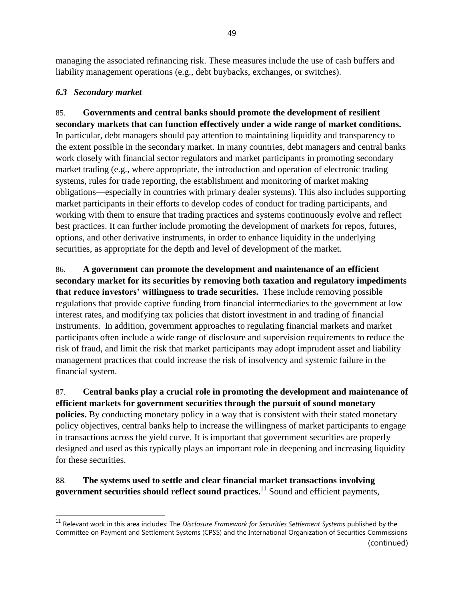managing the associated refinancing risk. These measures include the use of cash buffers and liability management operations (e.g., debt buybacks, exchanges, or switches).

### *6.3 Secondary market*

85. **Governments and central banks should promote the development of resilient secondary markets that can function effectively under a wide range of market conditions.** In particular, debt managers should pay attention to maintaining liquidity and transparency to the extent possible in the secondary market. In many countries, debt managers and central banks work closely with financial sector regulators and market participants in promoting secondary market trading (e.g., where appropriate, the introduction and operation of electronic trading systems, rules for trade reporting, the establishment and monitoring of market making obligations—especially in countries with primary dealer systems). This also includes supporting market participants in their efforts to develop codes of conduct for trading participants, and working with them to ensure that trading practices and systems continuously evolve and reflect best practices. It can further include promoting the development of markets for repos, futures, options, and other derivative instruments, in order to enhance liquidity in the underlying securities, as appropriate for the depth and level of development of the market.

86. **A government can promote the development and maintenance of an efficient secondary market for its securities by removing both taxation and regulatory impediments that reduce investors' willingness to trade securities.** These include removing possible regulations that provide captive funding from financial intermediaries to the government at low interest rates, and modifying tax policies that distort investment in and trading of financial instruments. In addition, government approaches to regulating financial markets and market participants often include a wide range of disclosure and supervision requirements to reduce the risk of fraud, and limit the risk that market participants may adopt imprudent asset and liability management practices that could increase the risk of insolvency and systemic failure in the financial system.

87. **Central banks play a crucial role in promoting the development and maintenance of efficient markets for government securities through the pursuit of sound monetary policies.** By conducting monetary policy in a way that is consistent with their stated monetary policy objectives, central banks help to increase the willingness of market participants to engage in transactions across the yield curve. It is important that government securities are properly designed and used as this typically plays an important role in deepening and increasing liquidity for these securities.

88. **The systems used to settle and clear financial market transactions involving government securities should reflect sound practices.** <sup>11</sup> Sound and efficient payments,

<sup>11</sup> Relevant work in this area includes: The *Disclosure Framework for Securities Settlement Systems* published by the Committee on Payment and Settlement Systems (CPSS) and the International Organization of Securities Commissions (continued)